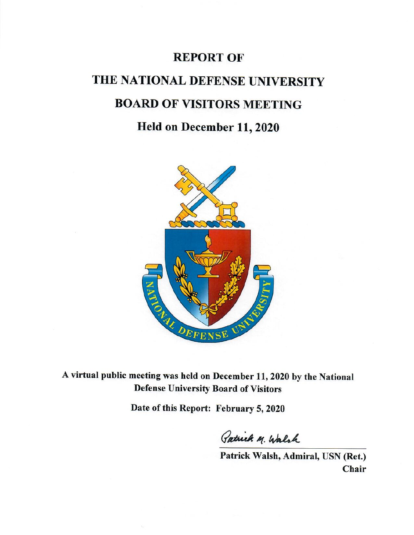## **REPORT OF**

# THE NATIONAL DEFENSE UNIVERSITY **BOARD OF VISITORS MEETING**

## Held on December 11, 2020



A virtual public meeting was held on December 11, 2020 by the National **Defense University Board of Visitors** 

Date of this Report: February 5, 2020

Patrick M. Walsh

Patrick Walsh, Admiral, USN (Ret.) Chair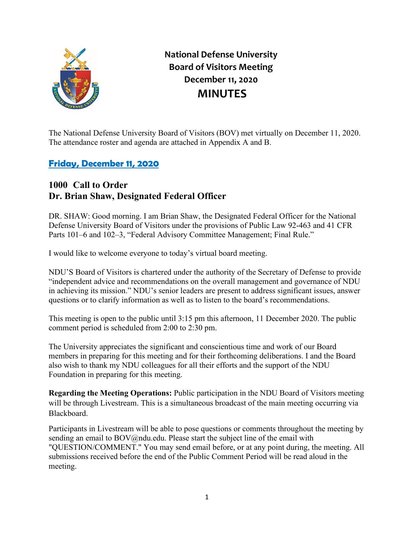

**National Defense University Board of Visitors Meeting December 11, 2020 MINUTES**

The National Defense University Board of Visitors (BOV) met virtually on December 11, 2020. The attendance roster and agenda are attached in Appendix A and B.

## **Friday, December 11, 2020**

#### **1000 Call to Order Dr. Brian Shaw, Designated Federal Officer**

DR. SHAW: Good morning. I am Brian Shaw, the Designated Federal Officer for the National Defense University Board of Visitors under the provisions of Public Law 92-463 and 41 CFR Parts 101–6 and 102–3, "Federal Advisory Committee Management; Final Rule."

I would like to welcome everyone to today's virtual board meeting.

NDU'S Board of Visitors is chartered under the authority of the Secretary of Defense to provide "independent advice and recommendations on the overall management and governance of NDU in achieving its mission." NDU's senior leaders are present to address significant issues, answer questions or to clarify information as well as to listen to the board's recommendations.

This meeting is open to the public until 3:15 pm this afternoon, 11 December 2020. The public comment period is scheduled from 2:00 to 2:30 pm.

The University appreciates the significant and conscientious time and work of our Board members in preparing for this meeting and for their forthcoming deliberations. I and the Board also wish to thank my NDU colleagues for all their efforts and the support of the NDU Foundation in preparing for this meeting.

**Regarding the Meeting Operations:** Public participation in the NDU Board of Visitors meeting will be through Livestream. This is a simultaneous broadcast of the main meeting occurring via Blackboard.

Participants in Livestream will be able to pose questions or comments throughout the meeting by sending an email to BOV@ndu.edu. Please start the subject line of the email with "QUESTION/COMMENT." You may send email before, or at any point during, the meeting. All submissions received before the end of the Public Comment Period will be read aloud in the meeting.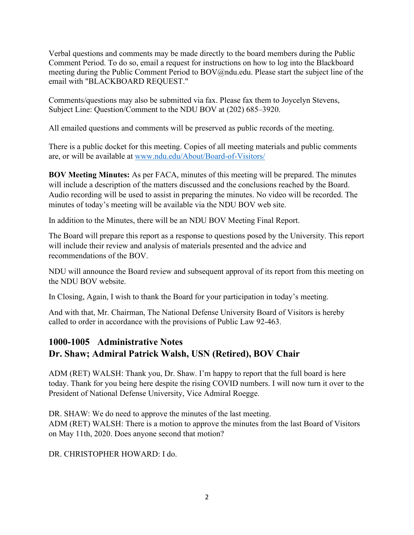Verbal questions and comments may be made directly to the board members during the Public Comment Period. To do so, email a request for instructions on how to log into the Blackboard meeting during the Public Comment Period to BOV@ndu.edu. Please start the subject line of the email with "BLACKBOARD REQUEST."

Comments/questions may also be submitted via fax. Please fax them to Joycelyn Stevens, Subject Line: Question/Comment to the NDU BOV at (202) 685–3920.

All emailed questions and comments will be preserved as public records of the meeting.

There is a public docket for this meeting. Copies of all meeting materials and public comments are, or will be available at [www.ndu.edu/About/Board-of-Visitors/](http://www.ndu.edu/About/Board-of-Visitors/)

**BOV Meeting Minutes:** As per FACA, minutes of this meeting will be prepared. The minutes will include a description of the matters discussed and the conclusions reached by the Board. Audio recording will be used to assist in preparing the minutes. No video will be recorded. The minutes of today's meeting will be available via the NDU BOV web site.

In addition to the Minutes, there will be an NDU BOV Meeting Final Report.

The Board will prepare this report as a response to questions posed by the University. This report will include their review and analysis of materials presented and the advice and recommendations of the BOV.

NDU will announce the Board review and subsequent approval of its report from this meeting on the NDU BOV website.

In Closing, Again, I wish to thank the Board for your participation in today's meeting.

And with that, Mr. Chairman, The National Defense University Board of Visitors is hereby called to order in accordance with the provisions of Public Law 92-463.

## **1000-1005 Administrative Notes Dr. Shaw; Admiral Patrick Walsh, USN (Retired), BOV Chair**

ADM (RET) WALSH: Thank you, Dr. Shaw. I'm happy to report that the full board is here today. Thank for you being here despite the rising COVID numbers. I will now turn it over to the President of National Defense University, Vice Admiral Roegge.

DR. SHAW: We do need to approve the minutes of the last meeting. ADM (RET) WALSH: There is a motion to approve the minutes from the last Board of Visitors on May 11th, 2020. Does anyone second that motion?

DR. CHRISTOPHER HOWARD: I do.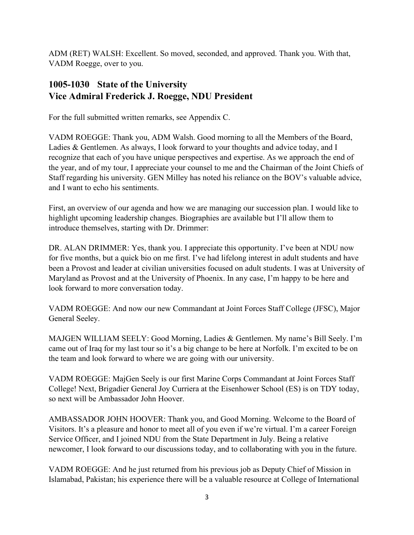ADM (RET) WALSH: Excellent. So moved, seconded, and approved. Thank you. With that, VADM Roegge, over to you.

## **1005-1030 State of the University Vice Admiral Frederick J. Roegge, NDU President**

For the full submitted written remarks, see Appendix C.

VADM ROEGGE: Thank you, ADM Walsh. Good morning to all the Members of the Board, Ladies & Gentlemen. As always, I look forward to your thoughts and advice today, and I recognize that each of you have unique perspectives and expertise. As we approach the end of the year, and of my tour, I appreciate your counsel to me and the Chairman of the Joint Chiefs of Staff regarding his university. GEN Milley has noted his reliance on the BOV's valuable advice, and I want to echo his sentiments.

First, an overview of our agenda and how we are managing our succession plan. I would like to highlight upcoming leadership changes. Biographies are available but I'll allow them to introduce themselves, starting with Dr. Drimmer:

DR. ALAN DRIMMER: Yes, thank you. I appreciate this opportunity. I've been at NDU now for five months, but a quick bio on me first. I've had lifelong interest in adult students and have been a Provost and leader at civilian universities focused on adult students. I was at University of Maryland as Provost and at the University of Phoenix. In any case, I'm happy to be here and look forward to more conversation today.

VADM ROEGGE: And now our new Commandant at Joint Forces Staff College (JFSC), Major General Seeley.

MAJGEN WILLIAM SEELY: Good Morning, Ladies & Gentlemen. My name's Bill Seely. I'm came out of Iraq for my last tour so it's a big change to be here at Norfolk. I'm excited to be on the team and look forward to where we are going with our university.

VADM ROEGGE: MajGen Seely is our first Marine Corps Commandant at Joint Forces Staff College! Next, Brigadier General Joy Curriera at the Eisenhower School (ES) is on TDY today, so next will be Ambassador John Hoover.

AMBASSADOR JOHN HOOVER: Thank you, and Good Morning. Welcome to the Board of Visitors. It's a pleasure and honor to meet all of you even if we're virtual. I'm a career Foreign Service Officer, and I joined NDU from the State Department in July. Being a relative newcomer, I look forward to our discussions today, and to collaborating with you in the future.

VADM ROEGGE: And he just returned from his previous job as Deputy Chief of Mission in Islamabad, Pakistan; his experience there will be a valuable resource at College of International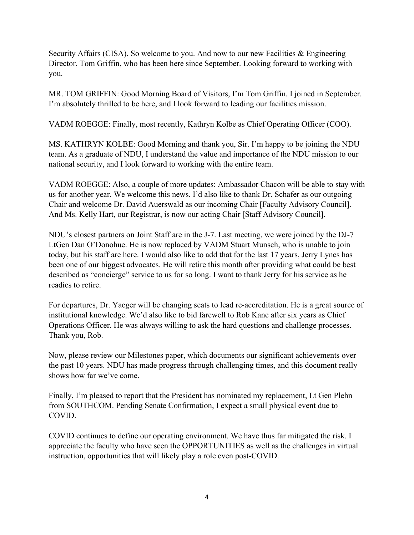Security Affairs (CISA). So welcome to you. And now to our new Facilities & Engineering Director, Tom Griffin, who has been here since September. Looking forward to working with you.

MR. TOM GRIFFIN: Good Morning Board of Visitors, I'm Tom Griffin. I joined in September. I'm absolutely thrilled to be here, and I look forward to leading our facilities mission.

VADM ROEGGE: Finally, most recently, Kathryn Kolbe as Chief Operating Officer (COO).

MS. KATHRYN KOLBE: Good Morning and thank you, Sir. I'm happy to be joining the NDU team. As a graduate of NDU, I understand the value and importance of the NDU mission to our national security, and I look forward to working with the entire team.

VADM ROEGGE: Also, a couple of more updates: Ambassador Chacon will be able to stay with us for another year. We welcome this news. I'd also like to thank Dr. Schafer as our outgoing Chair and welcome Dr. David Auerswald as our incoming Chair [Faculty Advisory Council]. And Ms. Kelly Hart, our Registrar, is now our acting Chair [Staff Advisory Council].

NDU's closest partners on Joint Staff are in the J-7. Last meeting, we were joined by the DJ-7 LtGen Dan O'Donohue. He is now replaced by VADM Stuart Munsch, who is unable to join today, but his staff are here. I would also like to add that for the last 17 years, Jerry Lynes has been one of our biggest advocates. He will retire this month after providing what could be best described as "concierge" service to us for so long. I want to thank Jerry for his service as he readies to retire.

For departures, Dr. Yaeger will be changing seats to lead re-accreditation. He is a great source of institutional knowledge. We'd also like to bid farewell to Rob Kane after six years as Chief Operations Officer. He was always willing to ask the hard questions and challenge processes. Thank you, Rob.

Now, please review our Milestones paper, which documents our significant achievements over the past 10 years. NDU has made progress through challenging times, and this document really shows how far we've come.

Finally, I'm pleased to report that the President has nominated my replacement, Lt Gen Plehn from SOUTHCOM. Pending Senate Confirmation, I expect a small physical event due to COVID.

COVID continues to define our operating environment. We have thus far mitigated the risk. I appreciate the faculty who have seen the OPPORTUNITIES as well as the challenges in virtual instruction, opportunities that will likely play a role even post-COVID.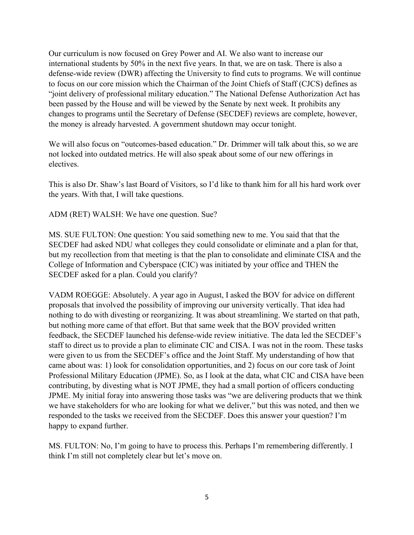Our curriculum is now focused on Grey Power and AI. We also want to increase our international students by 50% in the next five years. In that, we are on task. There is also a defense-wide review (DWR) affecting the University to find cuts to programs. We will continue to focus on our core mission which the Chairman of the Joint Chiefs of Staff (CJCS) defines as "joint delivery of professional military education." The National Defense Authorization Act has been passed by the House and will be viewed by the Senate by next week. It prohibits any changes to programs until the Secretary of Defense (SECDEF) reviews are complete, however, the money is already harvested. A government shutdown may occur tonight.

We will also focus on "outcomes-based education." Dr. Drimmer will talk about this, so we are not locked into outdated metrics. He will also speak about some of our new offerings in electives.

This is also Dr. Shaw's last Board of Visitors, so I'd like to thank him for all his hard work over the years. With that, I will take questions.

ADM (RET) WALSH: We have one question. Sue?

MS. SUE FULTON: One question: You said something new to me. You said that that the SECDEF had asked NDU what colleges they could consolidate or eliminate and a plan for that, but my recollection from that meeting is that the plan to consolidate and eliminate CISA and the College of Information and Cyberspace (CIC) was initiated by your office and THEN the SECDEF asked for a plan. Could you clarify?

VADM ROEGGE: Absolutely. A year ago in August, I asked the BOV for advice on different proposals that involved the possibility of improving our university vertically. That idea had nothing to do with divesting or reorganizing. It was about streamlining. We started on that path, but nothing more came of that effort. But that same week that the BOV provided written feedback, the SECDEF launched his defense-wide review initiative. The data led the SECDEF's staff to direct us to provide a plan to eliminate CIC and CISA. I was not in the room. These tasks were given to us from the SECDEF's office and the Joint Staff. My understanding of how that came about was: 1) look for consolidation opportunities, and 2) focus on our core task of Joint Professional Military Education (JPME). So, as I look at the data, what CIC and CISA have been contributing, by divesting what is NOT JPME, they had a small portion of officers conducting JPME. My initial foray into answering those tasks was "we are delivering products that we think we have stakeholders for who are looking for what we deliver," but this was noted, and then we responded to the tasks we received from the SECDEF. Does this answer your question? I'm happy to expand further.

MS. FULTON: No, I'm going to have to process this. Perhaps I'm remembering differently. I think I'm still not completely clear but let's move on.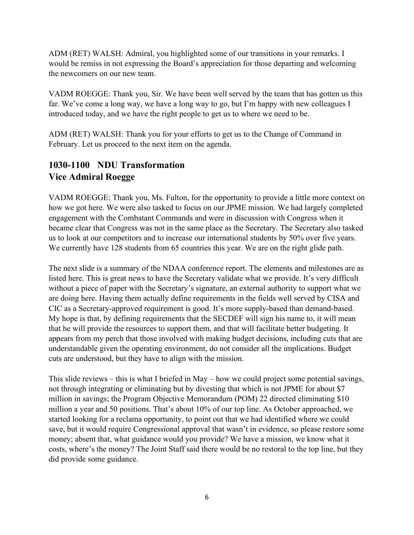ADM (RET) WALSH: Admiral, you highlighted some of our transitions in your remarks. I would be remiss in not expressing the Board's appreciation for those departing and welcoming the newcomers on our new team.

VADM ROEGGE: Thank you, Sir. We have been well served by the team that has gotten us this far. We've come a long way, we have a long way to go, but I'm happy with new colleagues I introduced today, and we have the right people to get us to where we need to be.

ADM (RET) WALSH: Thank you for your efforts to get us to the Change of Command in February. Let us proceed to the next item on the agenda.

## **1030-1100 NDU Transformation Vice Admiral Roegge**

VADM ROEGGE: Thank you, Ms. Fulton, for the opportunity to provide a little more context on how we got here. We were also tasked to focus on our JPME mission. We had largely completed engagement with the Combatant Commands and were in discussion with Congress when it became clear that Congress was not in the same place as the Secretary. The Secretary also tasked us to look at our competitors and to increase our international students by 50% over five years. We currently have 128 students from 65 countries this year. We are on the right glide path.

The next slide is a summary of the NDAA conference report. The elements and milestones are as listed here. This is great news to have the Secretary validate what we provide. It's very difficult without a piece of paper with the Secretary's signature, an external authority to support what we are doing here. Having them actually define requirements in the fields well served by CISA and CIC as a Secretary-approved requirement is good. It's more supply-based than demand-based. My hope is that, by defining requirements that the SECDEF will sign his name to, it will mean that he will provide the resources to support them, and that will facilitate better budgeting. It appears from my perch that those involved with making budget decisions, including cuts that are understandable given the operating environment, do not consider all the implications. Budget cuts are understood, but they have to align with the mission.

This slide reviews – this is what I briefed in May – how we could project some potential savings, not through integrating or eliminating but by divesting that which is not JPME for about \$7 million in savings; the Program Objective Memorandum (POM) 22 directed eliminating \$10 million a year and 50 positions. That's about 10% of our top line. As October approached, we started looking for a reclama opportunity, to point out that we had identified where we could save, but it would require Congressional approval that wasn't in evidence, so please restore some money; absent that, what guidance would you provide? We have a mission, we know what it costs, where's the money? The Joint Staff said there would be no restoral to the top line, but they did provide some guidance.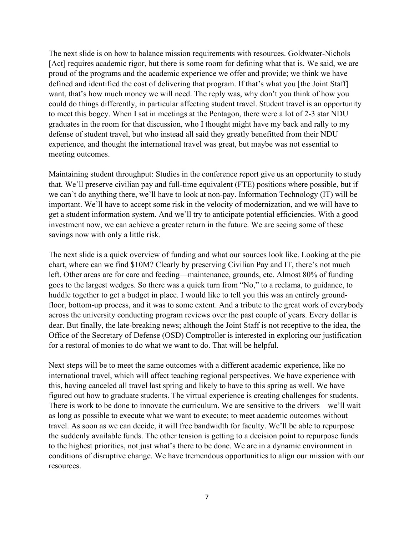The next slide is on how to balance mission requirements with resources. Goldwater-Nichols [Act] requires academic rigor, but there is some room for defining what that is. We said, we are proud of the programs and the academic experience we offer and provide; we think we have defined and identified the cost of delivering that program. If that's what you [the Joint Staff] want, that's how much money we will need. The reply was, why don't you think of how you could do things differently, in particular affecting student travel. Student travel is an opportunity to meet this bogey. When I sat in meetings at the Pentagon, there were a lot of 2-3 star NDU graduates in the room for that discussion, who I thought might have my back and rally to my defense of student travel, but who instead all said they greatly benefitted from their NDU experience, and thought the international travel was great, but maybe was not essential to meeting outcomes.

Maintaining student throughput: Studies in the conference report give us an opportunity to study that. We'll preserve civilian pay and full-time equivalent (FTE) positions where possible, but if we can't do anything there, we'll have to look at non-pay. Information Technology (IT) will be important. We'll have to accept some risk in the velocity of modernization, and we will have to get a student information system. And we'll try to anticipate potential efficiencies. With a good investment now, we can achieve a greater return in the future. We are seeing some of these savings now with only a little risk.

The next slide is a quick overview of funding and what our sources look like. Looking at the pie chart, where can we find \$10M? Clearly by preserving Civilian Pay and IT, there's not much left. Other areas are for care and feeding—maintenance, grounds, etc. Almost 80% of funding goes to the largest wedges. So there was a quick turn from "No," to a reclama, to guidance, to huddle together to get a budget in place. I would like to tell you this was an entirely groundfloor, bottom-up process, and it was to some extent. And a tribute to the great work of everybody across the university conducting program reviews over the past couple of years. Every dollar is dear. But finally, the late-breaking news; although the Joint Staff is not receptive to the idea, the Office of the Secretary of Defense (OSD) Comptroller is interested in exploring our justification for a restoral of monies to do what we want to do. That will be helpful.

Next steps will be to meet the same outcomes with a different academic experience, like no international travel, which will affect teaching regional perspectives. We have experience with this, having canceled all travel last spring and likely to have to this spring as well. We have figured out how to graduate students. The virtual experience is creating challenges for students. There is work to be done to innovate the curriculum. We are sensitive to the drivers – we'll wait as long as possible to execute what we want to execute; to meet academic outcomes without travel. As soon as we can decide, it will free bandwidth for faculty. We'll be able to repurpose the suddenly available funds. The other tension is getting to a decision point to repurpose funds to the highest priorities, not just what's there to be done. We are in a dynamic environment in conditions of disruptive change. We have tremendous opportunities to align our mission with our resources.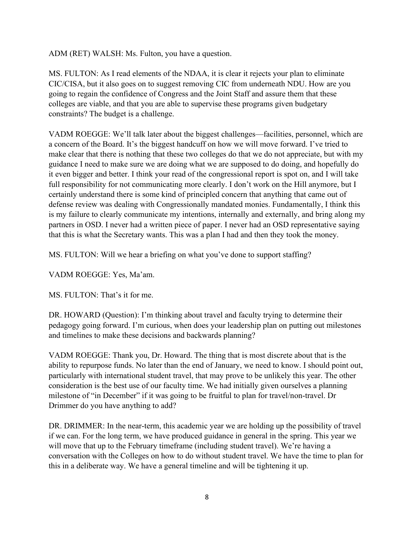ADM (RET) WALSH: Ms. Fulton, you have a question.

MS. FULTON: As I read elements of the NDAA, it is clear it rejects your plan to eliminate CIC/CISA, but it also goes on to suggest removing CIC from underneath NDU. How are you going to regain the confidence of Congress and the Joint Staff and assure them that these colleges are viable, and that you are able to supervise these programs given budgetary constraints? The budget is a challenge.

VADM ROEGGE: We'll talk later about the biggest challenges—facilities, personnel, which are a concern of the Board. It's the biggest handcuff on how we will move forward. I've tried to make clear that there is nothing that these two colleges do that we do not appreciate, but with my guidance I need to make sure we are doing what we are supposed to do doing, and hopefully do it even bigger and better. I think your read of the congressional report is spot on, and I will take full responsibility for not communicating more clearly. I don't work on the Hill anymore, but I certainly understand there is some kind of principled concern that anything that came out of defense review was dealing with Congressionally mandated monies. Fundamentally, I think this is my failure to clearly communicate my intentions, internally and externally, and bring along my partners in OSD. I never had a written piece of paper. I never had an OSD representative saying that this is what the Secretary wants. This was a plan I had and then they took the money.

MS. FULTON: Will we hear a briefing on what you've done to support staffing?

VADM ROEGGE: Yes, Ma'am.

MS. FULTON: That's it for me.

DR. HOWARD (Question): I'm thinking about travel and faculty trying to determine their pedagogy going forward. I'm curious, when does your leadership plan on putting out milestones and timelines to make these decisions and backwards planning?

VADM ROEGGE: Thank you, Dr. Howard. The thing that is most discrete about that is the ability to repurpose funds. No later than the end of January, we need to know. I should point out, particularly with international student travel, that may prove to be unlikely this year. The other consideration is the best use of our faculty time. We had initially given ourselves a planning milestone of "in December" if it was going to be fruitful to plan for travel/non-travel. Dr Drimmer do you have anything to add?

DR. DRIMMER: In the near-term, this academic year we are holding up the possibility of travel if we can. For the long term, we have produced guidance in general in the spring. This year we will move that up to the February timeframe (including student travel). We're having a conversation with the Colleges on how to do without student travel. We have the time to plan for this in a deliberate way. We have a general timeline and will be tightening it up.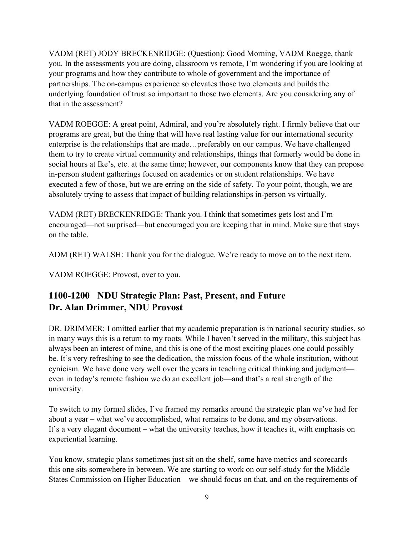VADM (RET) JODY BRECKENRIDGE: (Question): Good Morning, VADM Roegge, thank you. In the assessments you are doing, classroom vs remote, I'm wondering if you are looking at your programs and how they contribute to whole of government and the importance of partnerships. The on-campus experience so elevates those two elements and builds the underlying foundation of trust so important to those two elements. Are you considering any of that in the assessment?

VADM ROEGGE: A great point, Admiral, and you're absolutely right. I firmly believe that our programs are great, but the thing that will have real lasting value for our international security enterprise is the relationships that are made…preferably on our campus. We have challenged them to try to create virtual community and relationships, things that formerly would be done in social hours at Ike's, etc. at the same time; however, our components know that they can propose in-person student gatherings focused on academics or on student relationships. We have executed a few of those, but we are erring on the side of safety. To your point, though, we are absolutely trying to assess that impact of building relationships in-person vs virtually.

VADM (RET) BRECKENRIDGE: Thank you. I think that sometimes gets lost and I'm encouraged—not surprised—but encouraged you are keeping that in mind. Make sure that stays on the table.

ADM (RET) WALSH: Thank you for the dialogue. We're ready to move on to the next item.

VADM ROEGGE: Provost, over to you.

## **1100-1200 NDU Strategic Plan: Past, Present, and Future Dr. Alan Drimmer, NDU Provost**

DR. DRIMMER: I omitted earlier that my academic preparation is in national security studies, so in many ways this is a return to my roots. While I haven't served in the military, this subject has always been an interest of mine, and this is one of the most exciting places one could possibly be. It's very refreshing to see the dedication, the mission focus of the whole institution, without cynicism. We have done very well over the years in teaching critical thinking and judgment even in today's remote fashion we do an excellent job—and that's a real strength of the university.

To switch to my formal slides, I've framed my remarks around the strategic plan we've had for about a year – what we've accomplished, what remains to be done, and my observations. It's a very elegant document – what the university teaches, how it teaches it, with emphasis on experiential learning.

You know, strategic plans sometimes just sit on the shelf, some have metrics and scorecards – this one sits somewhere in between. We are starting to work on our self-study for the Middle States Commission on Higher Education – we should focus on that, and on the requirements of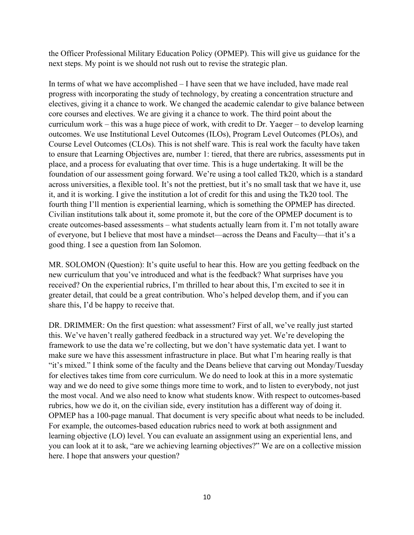the Officer Professional Military Education Policy (OPMEP). This will give us guidance for the next steps. My point is we should not rush out to revise the strategic plan.

In terms of what we have accomplished – I have seen that we have included, have made real progress with incorporating the study of technology, by creating a concentration structure and electives, giving it a chance to work. We changed the academic calendar to give balance between core courses and electives. We are giving it a chance to work. The third point about the curriculum work – this was a huge piece of work, with credit to Dr. Yaeger – to develop learning outcomes. We use Institutional Level Outcomes (ILOs), Program Level Outcomes (PLOs), and Course Level Outcomes (CLOs). This is not shelf ware. This is real work the faculty have taken to ensure that Learning Objectives are, number 1: tiered, that there are rubrics, assessments put in place, and a process for evaluating that over time. This is a huge undertaking. It will be the foundation of our assessment going forward. We're using a tool called Tk20, which is a standard across universities, a flexible tool. It's not the prettiest, but it's no small task that we have it, use it, and it is working. I give the institution a lot of credit for this and using the Tk20 tool. The fourth thing I'll mention is experiential learning, which is something the OPMEP has directed. Civilian institutions talk about it, some promote it, but the core of the OPMEP document is to create outcomes-based assessments – what students actually learn from it. I'm not totally aware of everyone, but I believe that most have a mindset—across the Deans and Faculty—that it's a good thing. I see a question from Ian Solomon.

MR. SOLOMON (Question): It's quite useful to hear this. How are you getting feedback on the new curriculum that you've introduced and what is the feedback? What surprises have you received? On the experiential rubrics, I'm thrilled to hear about this, I'm excited to see it in greater detail, that could be a great contribution. Who's helped develop them, and if you can share this, I'd be happy to receive that.

DR. DRIMMER: On the first question: what assessment? First of all, we've really just started this. We've haven't really gathered feedback in a structured way yet. We're developing the framework to use the data we're collecting, but we don't have systematic data yet. I want to make sure we have this assessment infrastructure in place. But what I'm hearing really is that "it's mixed." I think some of the faculty and the Deans believe that carving out Monday/Tuesday for electives takes time from core curriculum. We do need to look at this in a more systematic way and we do need to give some things more time to work, and to listen to everybody, not just the most vocal. And we also need to know what students know. With respect to outcomes-based rubrics, how we do it, on the civilian side, every institution has a different way of doing it. OPMEP has a 100-page manual. That document is very specific about what needs to be included. For example, the outcomes-based education rubrics need to work at both assignment and learning objective (LO) level. You can evaluate an assignment using an experiential lens, and you can look at it to ask, "are we achieving learning objectives?" We are on a collective mission here. I hope that answers your question?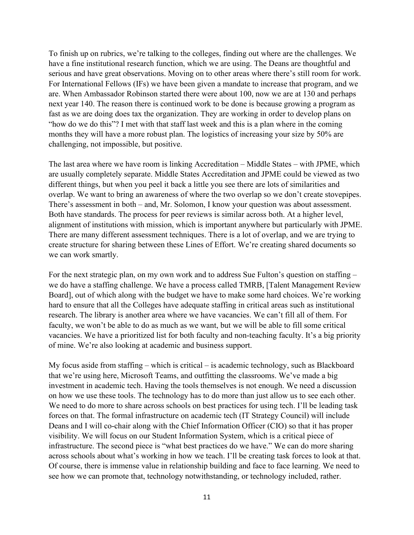To finish up on rubrics, we're talking to the colleges, finding out where are the challenges. We have a fine institutional research function, which we are using. The Deans are thoughtful and serious and have great observations. Moving on to other areas where there's still room for work. For International Fellows (IFs) we have been given a mandate to increase that program, and we are. When Ambassador Robinson started there were about 100, now we are at 130 and perhaps next year 140. The reason there is continued work to be done is because growing a program as fast as we are doing does tax the organization. They are working in order to develop plans on "how do we do this"? I met with that staff last week and this is a plan where in the coming months they will have a more robust plan. The logistics of increasing your size by 50% are challenging, not impossible, but positive.

The last area where we have room is linking Accreditation – Middle States – with JPME, which are usually completely separate. Middle States Accreditation and JPME could be viewed as two different things, but when you peel it back a little you see there are lots of similarities and overlap. We want to bring an awareness of where the two overlap so we don't create stovepipes. There's assessment in both – and, Mr. Solomon, I know your question was about assessment. Both have standards. The process for peer reviews is similar across both. At a higher level, alignment of institutions with mission, which is important anywhere but particularly with JPME. There are many different assessment techniques. There is a lot of overlap, and we are trying to create structure for sharing between these Lines of Effort. We're creating shared documents so we can work smartly.

For the next strategic plan, on my own work and to address Sue Fulton's question on staffing – we do have a staffing challenge. We have a process called TMRB, [Talent Management Review Board], out of which along with the budget we have to make some hard choices. We're working hard to ensure that all the Colleges have adequate staffing in critical areas such as institutional research. The library is another area where we have vacancies. We can't fill all of them. For faculty, we won't be able to do as much as we want, but we will be able to fill some critical vacancies. We have a prioritized list for both faculty and non-teaching faculty. It's a big priority of mine. We're also looking at academic and business support.

My focus aside from staffing – which is critical – is academic technology, such as Blackboard that we're using here, Microsoft Teams, and outfitting the classrooms. We've made a big investment in academic tech. Having the tools themselves is not enough. We need a discussion on how we use these tools. The technology has to do more than just allow us to see each other. We need to do more to share across schools on best practices for using tech. I'll be leading task forces on that. The formal infrastructure on academic tech (IT Strategy Council) will include Deans and I will co-chair along with the Chief Information Officer (CIO) so that it has proper visibility. We will focus on our Student Information System, which is a critical piece of infrastructure. The second piece is "what best practices do we have." We can do more sharing across schools about what's working in how we teach. I'll be creating task forces to look at that. Of course, there is immense value in relationship building and face to face learning. We need to see how we can promote that, technology notwithstanding, or technology included, rather.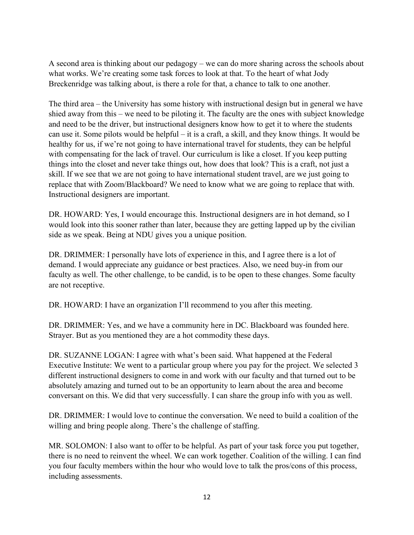A second area is thinking about our pedagogy – we can do more sharing across the schools about what works. We're creating some task forces to look at that. To the heart of what Jody Breckenridge was talking about, is there a role for that, a chance to talk to one another.

The third area – the University has some history with instructional design but in general we have shied away from this – we need to be piloting it. The faculty are the ones with subject knowledge and need to be the driver, but instructional designers know how to get it to where the students can use it. Some pilots would be helpful – it is a craft, a skill, and they know things. It would be healthy for us, if we're not going to have international travel for students, they can be helpful with compensating for the lack of travel. Our curriculum is like a closet. If you keep putting things into the closet and never take things out, how does that look? This is a craft, not just a skill. If we see that we are not going to have international student travel, are we just going to replace that with Zoom/Blackboard? We need to know what we are going to replace that with. Instructional designers are important.

DR. HOWARD: Yes, I would encourage this. Instructional designers are in hot demand, so I would look into this sooner rather than later, because they are getting lapped up by the civilian side as we speak. Being at NDU gives you a unique position.

DR. DRIMMER: I personally have lots of experience in this, and I agree there is a lot of demand. I would appreciate any guidance or best practices. Also, we need buy-in from our faculty as well. The other challenge, to be candid, is to be open to these changes. Some faculty are not receptive.

DR. HOWARD: I have an organization I'll recommend to you after this meeting.

DR. DRIMMER: Yes, and we have a community here in DC. Blackboard was founded here. Strayer. But as you mentioned they are a hot commodity these days.

DR. SUZANNE LOGAN: I agree with what's been said. What happened at the Federal Executive Institute: We went to a particular group where you pay for the project. We selected 3 different instructional designers to come in and work with our faculty and that turned out to be absolutely amazing and turned out to be an opportunity to learn about the area and become conversant on this. We did that very successfully. I can share the group info with you as well.

DR. DRIMMER: I would love to continue the conversation. We need to build a coalition of the willing and bring people along. There's the challenge of staffing.

MR. SOLOMON: I also want to offer to be helpful. As part of your task force you put together, there is no need to reinvent the wheel. We can work together. Coalition of the willing. I can find you four faculty members within the hour who would love to talk the pros/cons of this process, including assessments.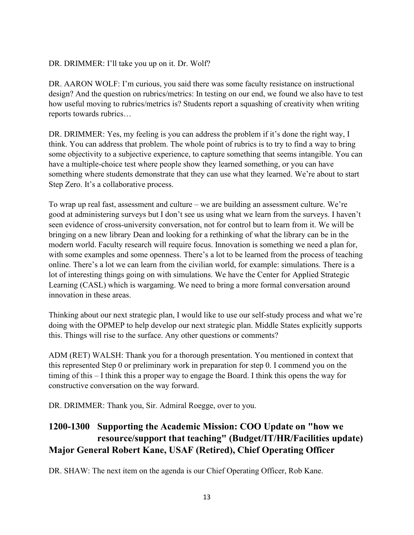#### DR. DRIMMER: I'll take you up on it. Dr. Wolf?

DR. AARON WOLF: I'm curious, you said there was some faculty resistance on instructional design? And the question on rubrics/metrics: In testing on our end, we found we also have to test how useful moving to rubrics/metrics is? Students report a squashing of creativity when writing reports towards rubrics…

DR. DRIMMER: Yes, my feeling is you can address the problem if it's done the right way, I think. You can address that problem. The whole point of rubrics is to try to find a way to bring some objectivity to a subjective experience, to capture something that seems intangible. You can have a multiple-choice test where people show they learned something, or you can have something where students demonstrate that they can use what they learned. We're about to start Step Zero. It's a collaborative process.

To wrap up real fast, assessment and culture – we are building an assessment culture. We're good at administering surveys but I don't see us using what we learn from the surveys. I haven't seen evidence of cross-university conversation, not for control but to learn from it. We will be bringing on a new library Dean and looking for a rethinking of what the library can be in the modern world. Faculty research will require focus. Innovation is something we need a plan for, with some examples and some openness. There's a lot to be learned from the process of teaching online. There's a lot we can learn from the civilian world, for example: simulations. There is a lot of interesting things going on with simulations. We have the Center for Applied Strategic Learning (CASL) which is wargaming. We need to bring a more formal conversation around innovation in these areas.

Thinking about our next strategic plan, I would like to use our self-study process and what we're doing with the OPMEP to help develop our next strategic plan. Middle States explicitly supports this. Things will rise to the surface. Any other questions or comments?

ADM (RET) WALSH: Thank you for a thorough presentation. You mentioned in context that this represented Step 0 or preliminary work in preparation for step 0. I commend you on the timing of this – I think this a proper way to engage the Board. I think this opens the way for constructive conversation on the way forward.

DR. DRIMMER: Thank you, Sir. Admiral Roegge, over to you.

## **1200-1300 Supporting the Academic Mission: COO Update on "how we resource/support that teaching" (Budget/IT/HR/Facilities update) Major General Robert Kane, USAF (Retired), Chief Operating Officer**

DR. SHAW: The next item on the agenda is our Chief Operating Officer, Rob Kane.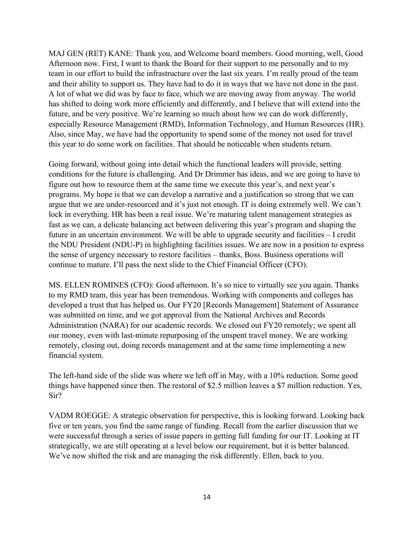MAJ GEN (RET) KANE: Thank you, and Welcome board members. Good morning, well, Good Afternoon now. First, I want to thank the Board for their support to me personally and to my team in our effort to build the infrastructure over the last six years. I'm really proud of the team and their ability to support us. They have had to do it in ways that we have not done in the past. A lot of what we did was by face to face, which we are moving away from anyway. The world has shifted to doing work more efficiently and differently, and I believe that will extend into the future, and be very positive. We're learning so much about how we can do work differently, especially Resource Management (RMD), Information Technology, and Human Resources (HR). Also, since May, we have had the opportunity to spend some of the money not used for travel this year to do some work on facilities. That should be noticeable when students return.

Going forward, without going into detail which the functional leaders will provide, setting conditions for the future is challenging. And Dr Drimmer has ideas, and we are going to have to figure out how to resource them at the same time we execute this year's, and next year's programs. My hope is that we can develop a narrative and a justification so strong that we can argue that we are under-resourced and it's just not enough. IT is doing extremely well. We can't lock in everything. HR has been a real issue. We're maturing talent management strategies as fast as we can, a delicate balancing act between delivering this year's program and shaping the future in an uncertain environment. We will be able to upgrade security and facilities – I credit the NDU President (NDU-P) in highlighting facilities issues. We are now in a position to express the sense of urgency necessary to restore facilities – thanks, Boss. Business operations will continue to mature. I'll pass the next slide to the Chief Financial Officer (CFO).

MS. ELLEN ROMINES (CFO): Good afternoon. It's so nice to virtually see you again. Thanks to my RMD team, this year has been tremendous. Working with components and colleges has developed a trust that has helped us. Our FY20 [Records Management] Statement of Assurance was submitted on time, and we got approval from the National Archives and Records Administration (NARA) for our academic records. We closed out FY20 remotely; we spent all our money, even with last-minute repurposing of the unspent travel money. We are working remotely, closing out, doing records management and at the same time implementing a new financial system.

The left-hand side of the slide was where we left off in May, with a 10% reduction. Some good things have happened since then. The restoral of \$2.5 million leaves a \$7 million reduction. Yes, Sir?

VADM ROEGGE: A strategic observation for perspective, this is looking forward. Looking back five or ten years, you find the same range of funding. Recall from the earlier discussion that we were successful through a series of issue papers in getting full funding for our IT. Looking at IT strategically, we are still operating at a level below our requirement, but it is better balanced. We've now shifted the risk and are managing the risk differently. Ellen, back to you.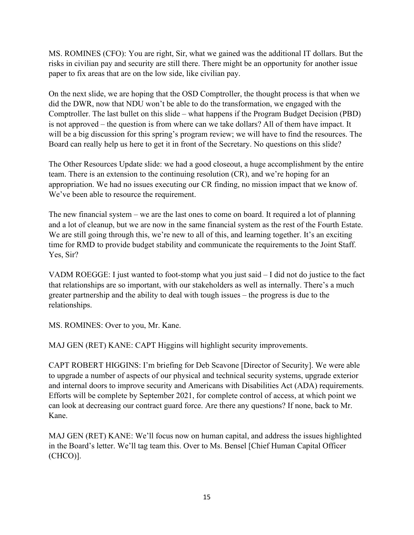MS. ROMINES (CFO): You are right, Sir, what we gained was the additional IT dollars. But the risks in civilian pay and security are still there. There might be an opportunity for another issue paper to fix areas that are on the low side, like civilian pay.

On the next slide, we are hoping that the OSD Comptroller, the thought process is that when we did the DWR, now that NDU won't be able to do the transformation, we engaged with the Comptroller. The last bullet on this slide – what happens if the Program Budget Decision (PBD) is not approved – the question is from where can we take dollars? All of them have impact. It will be a big discussion for this spring's program review; we will have to find the resources. The Board can really help us here to get it in front of the Secretary. No questions on this slide?

The Other Resources Update slide: we had a good closeout, a huge accomplishment by the entire team. There is an extension to the continuing resolution (CR), and we're hoping for an appropriation. We had no issues executing our CR finding, no mission impact that we know of. We've been able to resource the requirement.

The new financial system – we are the last ones to come on board. It required a lot of planning and a lot of cleanup, but we are now in the same financial system as the rest of the Fourth Estate. We are still going through this, we're new to all of this, and learning together. It's an exciting time for RMD to provide budget stability and communicate the requirements to the Joint Staff. Yes, Sir?

VADM ROEGGE: I just wanted to foot-stomp what you just said – I did not do justice to the fact that relationships are so important, with our stakeholders as well as internally. There's a much greater partnership and the ability to deal with tough issues – the progress is due to the relationships.

MS. ROMINES: Over to you, Mr. Kane.

MAJ GEN (RET) KANE: CAPT Higgins will highlight security improvements.

CAPT ROBERT HIGGINS: I'm briefing for Deb Scavone [Director of Security]. We were able to upgrade a number of aspects of our physical and technical security systems, upgrade exterior and internal doors to improve security and Americans with Disabilities Act (ADA) requirements. Efforts will be complete by September 2021, for complete control of access, at which point we can look at decreasing our contract guard force. Are there any questions? If none, back to Mr. Kane.

MAJ GEN (RET) KANE: We'll focus now on human capital, and address the issues highlighted in the Board's letter. We'll tag team this. Over to Ms. Bensel [Chief Human Capital Officer (CHCO)].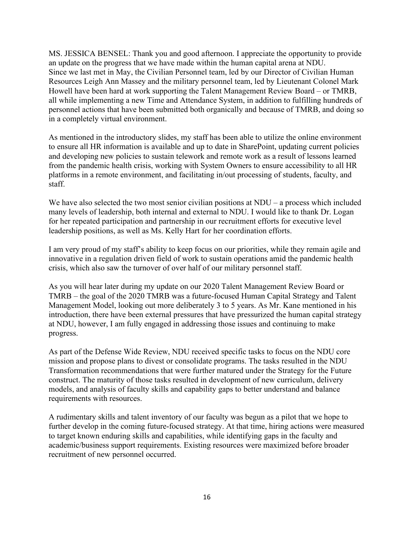MS. JESSICA BENSEL: Thank you and good afternoon. I appreciate the opportunity to provide an update on the progress that we have made within the human capital arena at NDU. Since we last met in May, the Civilian Personnel team, led by our Director of Civilian Human Resources Leigh Ann Massey and the military personnel team, led by Lieutenant Colonel Mark Howell have been hard at work supporting the Talent Management Review Board – or TMRB, all while implementing a new Time and Attendance System, in addition to fulfilling hundreds of personnel actions that have been submitted both organically and because of TMRB, and doing so in a completely virtual environment.

As mentioned in the introductory slides, my staff has been able to utilize the online environment to ensure all HR information is available and up to date in SharePoint, updating current policies and developing new policies to sustain telework and remote work as a result of lessons learned from the pandemic health crisis, working with System Owners to ensure accessibility to all HR platforms in a remote environment, and facilitating in/out processing of students, faculty, and staff.

We have also selected the two most senior civilian positions at NDU – a process which included many levels of leadership, both internal and external to NDU. I would like to thank Dr. Logan for her repeated participation and partnership in our recruitment efforts for executive level leadership positions, as well as Ms. Kelly Hart for her coordination efforts.

I am very proud of my staff's ability to keep focus on our priorities, while they remain agile and innovative in a regulation driven field of work to sustain operations amid the pandemic health crisis, which also saw the turnover of over half of our military personnel staff.

As you will hear later during my update on our 2020 Talent Management Review Board or TMRB – the goal of the 2020 TMRB was a future-focused Human Capital Strategy and Talent Management Model, looking out more deliberately 3 to 5 years. As Mr. Kane mentioned in his introduction, there have been external pressures that have pressurized the human capital strategy at NDU, however, I am fully engaged in addressing those issues and continuing to make progress.

As part of the Defense Wide Review, NDU received specific tasks to focus on the NDU core mission and propose plans to divest or consolidate programs. The tasks resulted in the NDU Transformation recommendations that were further matured under the Strategy for the Future construct. The maturity of those tasks resulted in development of new curriculum, delivery models, and analysis of faculty skills and capability gaps to better understand and balance requirements with resources.

A rudimentary skills and talent inventory of our faculty was begun as a pilot that we hope to further develop in the coming future-focused strategy. At that time, hiring actions were measured to target known enduring skills and capabilities, while identifying gaps in the faculty and academic/business support requirements. Existing resources were maximized before broader recruitment of new personnel occurred.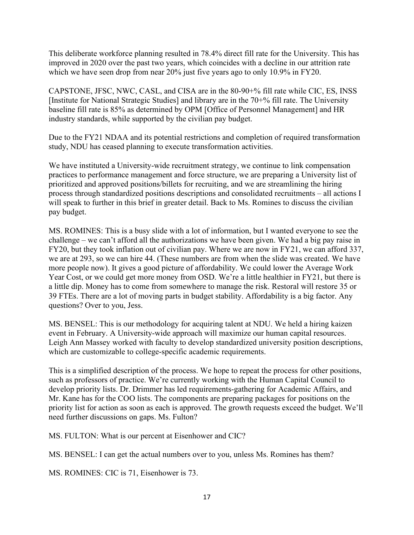This deliberate workforce planning resulted in 78.4% direct fill rate for the University. This has improved in 2020 over the past two years, which coincides with a decline in our attrition rate which we have seen drop from near 20% just five years ago to only 10.9% in FY20.

CAPSTONE, JFSC, NWC, CASL, and CISA are in the 80-90+% fill rate while CIC, ES, INSS [Institute for National Strategic Studies] and library are in the 70+% fill rate. The University baseline fill rate is 85% as determined by OPM [Office of Personnel Management] and HR industry standards, while supported by the civilian pay budget.

Due to the FY21 NDAA and its potential restrictions and completion of required transformation study, NDU has ceased planning to execute transformation activities.

We have instituted a University-wide recruitment strategy, we continue to link compensation practices to performance management and force structure, we are preparing a University list of prioritized and approved positions/billets for recruiting, and we are streamlining the hiring process through standardized positions descriptions and consolidated recruitments – all actions I will speak to further in this brief in greater detail. Back to Ms. Romines to discuss the civilian pay budget.

MS. ROMINES: This is a busy slide with a lot of information, but I wanted everyone to see the challenge – we can't afford all the authorizations we have been given. We had a big pay raise in FY20, but they took inflation out of civilian pay. Where we are now in FY21, we can afford 337, we are at 293, so we can hire 44. (These numbers are from when the slide was created. We have more people now). It gives a good picture of affordability. We could lower the Average Work Year Cost, or we could get more money from OSD. We're a little healthier in FY21, but there is a little dip. Money has to come from somewhere to manage the risk. Restoral will restore 35 or 39 FTEs. There are a lot of moving parts in budget stability. Affordability is a big factor. Any questions? Over to you, Jess.

MS. BENSEL: This is our methodology for acquiring talent at NDU. We held a hiring kaizen event in February. A University-wide approach will maximize our human capital resources. Leigh Ann Massey worked with faculty to develop standardized university position descriptions, which are customizable to college-specific academic requirements.

This is a simplified description of the process. We hope to repeat the process for other positions, such as professors of practice. We're currently working with the Human Capital Council to develop priority lists. Dr. Drimmer has led requirements-gathering for Academic Affairs, and Mr. Kane has for the COO lists. The components are preparing packages for positions on the priority list for action as soon as each is approved. The growth requests exceed the budget. We'll need further discussions on gaps. Ms. Fulton?

MS. FULTON: What is our percent at Eisenhower and CIC?

MS. BENSEL: I can get the actual numbers over to you, unless Ms. Romines has them?

MS. ROMINES: CIC is 71, Eisenhower is 73.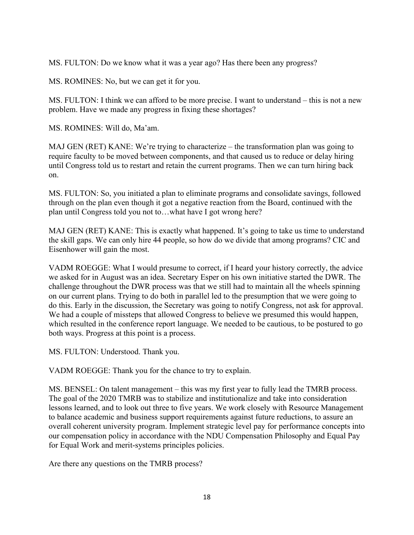MS. FULTON: Do we know what it was a year ago? Has there been any progress?

MS. ROMINES: No, but we can get it for you.

MS. FULTON: I think we can afford to be more precise. I want to understand – this is not a new problem. Have we made any progress in fixing these shortages?

MS. ROMINES: Will do, Ma'am.

MAJ GEN (RET) KANE: We're trying to characterize – the transformation plan was going to require faculty to be moved between components, and that caused us to reduce or delay hiring until Congress told us to restart and retain the current programs. Then we can turn hiring back on.

MS. FULTON: So, you initiated a plan to eliminate programs and consolidate savings, followed through on the plan even though it got a negative reaction from the Board, continued with the plan until Congress told you not to…what have I got wrong here?

MAJ GEN (RET) KANE: This is exactly what happened. It's going to take us time to understand the skill gaps. We can only hire 44 people, so how do we divide that among programs? CIC and Eisenhower will gain the most.

VADM ROEGGE: What I would presume to correct, if I heard your history correctly, the advice we asked for in August was an idea. Secretary Esper on his own initiative started the DWR. The challenge throughout the DWR process was that we still had to maintain all the wheels spinning on our current plans. Trying to do both in parallel led to the presumption that we were going to do this. Early in the discussion, the Secretary was going to notify Congress, not ask for approval. We had a couple of missteps that allowed Congress to believe we presumed this would happen, which resulted in the conference report language. We needed to be cautious, to be postured to go both ways. Progress at this point is a process.

MS. FULTON: Understood. Thank you.

VADM ROEGGE: Thank you for the chance to try to explain.

MS. BENSEL: On talent management – this was my first year to fully lead the TMRB process. The goal of the 2020 TMRB was to stabilize and institutionalize and take into consideration lessons learned, and to look out three to five years. We work closely with Resource Management to balance academic and business support requirements against future reductions, to assure an overall coherent university program. Implement strategic level pay for performance concepts into our compensation policy in accordance with the NDU Compensation Philosophy and Equal Pay for Equal Work and merit-systems principles policies.

Are there any questions on the TMRB process?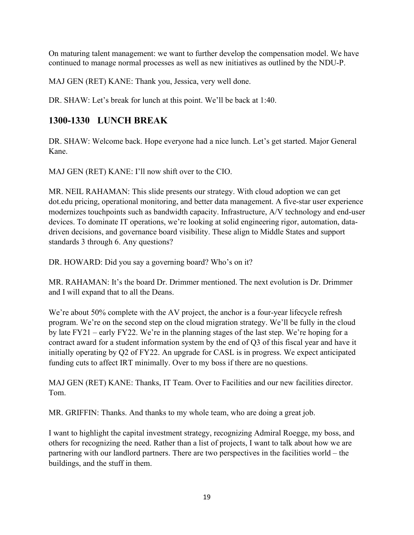On maturing talent management: we want to further develop the compensation model. We have continued to manage normal processes as well as new initiatives as outlined by the NDU-P.

MAJ GEN (RET) KANE: Thank you, Jessica, very well done.

DR. SHAW: Let's break for lunch at this point. We'll be back at 1:40.

## **1300-1330 LUNCH BREAK**

DR. SHAW: Welcome back. Hope everyone had a nice lunch. Let's get started. Major General Kane.

MAJ GEN (RET) KANE: I'll now shift over to the CIO.

MR. NEIL RAHAMAN: This slide presents our strategy. With cloud adoption we can get dot.edu pricing, operational monitoring, and better data management. A five-star user experience modernizes touchpoints such as bandwidth capacity. Infrastructure, A/V technology and end-user devices. To dominate IT operations, we're looking at solid engineering rigor, automation, datadriven decisions, and governance board visibility. These align to Middle States and support standards 3 through 6. Any questions?

DR. HOWARD: Did you say a governing board? Who's on it?

MR. RAHAMAN: It's the board Dr. Drimmer mentioned. The next evolution is Dr. Drimmer and I will expand that to all the Deans.

We're about 50% complete with the AV project, the anchor is a four-year lifecycle refresh program. We're on the second step on the cloud migration strategy. We'll be fully in the cloud by late FY21 – early FY22. We're in the planning stages of the last step. We're hoping for a contract award for a student information system by the end of Q3 of this fiscal year and have it initially operating by Q2 of FY22. An upgrade for CASL is in progress. We expect anticipated funding cuts to affect IRT minimally. Over to my boss if there are no questions.

MAJ GEN (RET) KANE: Thanks, IT Team. Over to Facilities and our new facilities director. Tom.

MR. GRIFFIN: Thanks. And thanks to my whole team, who are doing a great job.

I want to highlight the capital investment strategy, recognizing Admiral Roegge, my boss, and others for recognizing the need. Rather than a list of projects, I want to talk about how we are partnering with our landlord partners. There are two perspectives in the facilities world – the buildings, and the stuff in them.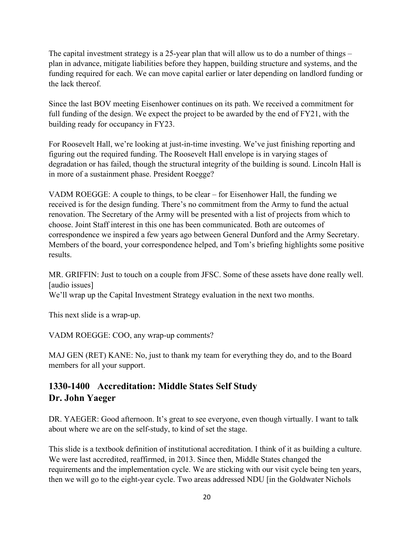The capital investment strategy is a 25-year plan that will allow us to do a number of things – plan in advance, mitigate liabilities before they happen, building structure and systems, and the funding required for each. We can move capital earlier or later depending on landlord funding or the lack thereof.

Since the last BOV meeting Eisenhower continues on its path. We received a commitment for full funding of the design. We expect the project to be awarded by the end of FY21, with the building ready for occupancy in FY23.

For Roosevelt Hall, we're looking at just-in-time investing. We've just finishing reporting and figuring out the required funding. The Roosevelt Hall envelope is in varying stages of degradation or has failed, though the structural integrity of the building is sound. Lincoln Hall is in more of a sustainment phase. President Roegge?

VADM ROEGGE: A couple to things, to be clear – for Eisenhower Hall, the funding we received is for the design funding. There's no commitment from the Army to fund the actual renovation. The Secretary of the Army will be presented with a list of projects from which to choose. Joint Staff interest in this one has been communicated. Both are outcomes of correspondence we inspired a few years ago between General Dunford and the Army Secretary. Members of the board, your correspondence helped, and Tom's briefing highlights some positive results.

MR. GRIFFIN: Just to touch on a couple from JFSC. Some of these assets have done really well. [audio issues]

We'll wrap up the Capital Investment Strategy evaluation in the next two months.

This next slide is a wrap-up.

VADM ROEGGE: COO, any wrap-up comments?

MAJ GEN (RET) KANE: No, just to thank my team for everything they do, and to the Board members for all your support.

## **1330-1400 Accreditation: Middle States Self Study Dr. John Yaeger**

DR. YAEGER: Good afternoon. It's great to see everyone, even though virtually. I want to talk about where we are on the self-study, to kind of set the stage.

This slide is a textbook definition of institutional accreditation. I think of it as building a culture. We were last accredited, reaffirmed, in 2013. Since then, Middle States changed the requirements and the implementation cycle. We are sticking with our visit cycle being ten years, then we will go to the eight-year cycle. Two areas addressed NDU [in the Goldwater Nichols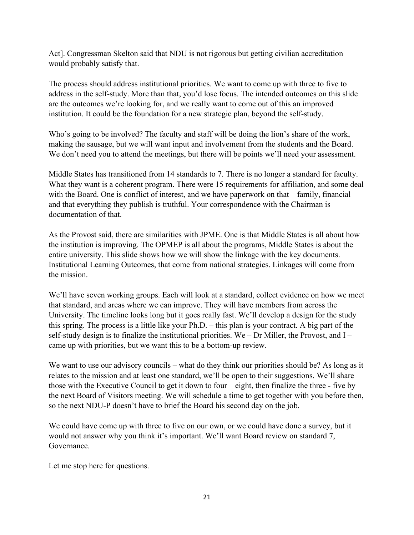Act]. Congressman Skelton said that NDU is not rigorous but getting civilian accreditation would probably satisfy that.

The process should address institutional priorities. We want to come up with three to five to address in the self-study. More than that, you'd lose focus. The intended outcomes on this slide are the outcomes we're looking for, and we really want to come out of this an improved institution. It could be the foundation for a new strategic plan, beyond the self-study.

Who's going to be involved? The faculty and staff will be doing the lion's share of the work, making the sausage, but we will want input and involvement from the students and the Board. We don't need you to attend the meetings, but there will be points we'll need your assessment.

Middle States has transitioned from 14 standards to 7. There is no longer a standard for faculty. What they want is a coherent program. There were 15 requirements for affiliation, and some deal with the Board. One is conflict of interest, and we have paperwork on that – family, financial – and that everything they publish is truthful. Your correspondence with the Chairman is documentation of that.

As the Provost said, there are similarities with JPME. One is that Middle States is all about how the institution is improving. The OPMEP is all about the programs, Middle States is about the entire university. This slide shows how we will show the linkage with the key documents. Institutional Learning Outcomes, that come from national strategies. Linkages will come from the mission.

We'll have seven working groups. Each will look at a standard, collect evidence on how we meet that standard, and areas where we can improve. They will have members from across the University. The timeline looks long but it goes really fast. We'll develop a design for the study this spring. The process is a little like your Ph.D. – this plan is your contract. A big part of the self-study design is to finalize the institutional priorities. We – Dr Miller, the Provost, and I – came up with priorities, but we want this to be a bottom-up review.

We want to use our advisory councils – what do they think our priorities should be? As long as it relates to the mission and at least one standard, we'll be open to their suggestions. We'll share those with the Executive Council to get it down to four – eight, then finalize the three - five by the next Board of Visitors meeting. We will schedule a time to get together with you before then, so the next NDU-P doesn't have to brief the Board his second day on the job.

We could have come up with three to five on our own, or we could have done a survey, but it would not answer why you think it's important. We'll want Board review on standard 7, Governance.

Let me stop here for questions.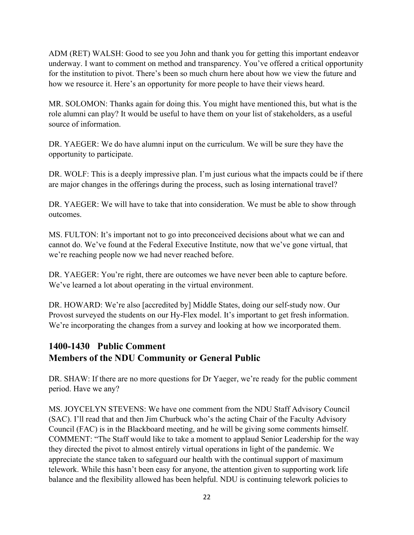ADM (RET) WALSH: Good to see you John and thank you for getting this important endeavor underway. I want to comment on method and transparency. You've offered a critical opportunity for the institution to pivot. There's been so much churn here about how we view the future and how we resource it. Here's an opportunity for more people to have their views heard.

MR. SOLOMON: Thanks again for doing this. You might have mentioned this, but what is the role alumni can play? It would be useful to have them on your list of stakeholders, as a useful source of information.

DR. YAEGER: We do have alumni input on the curriculum. We will be sure they have the opportunity to participate.

DR. WOLF: This is a deeply impressive plan. I'm just curious what the impacts could be if there are major changes in the offerings during the process, such as losing international travel?

DR. YAEGER: We will have to take that into consideration. We must be able to show through outcomes.

MS. FULTON: It's important not to go into preconceived decisions about what we can and cannot do. We've found at the Federal Executive Institute, now that we've gone virtual, that we're reaching people now we had never reached before.

DR. YAEGER: You're right, there are outcomes we have never been able to capture before. We've learned a lot about operating in the virtual environment.

DR. HOWARD: We're also [accredited by] Middle States, doing our self-study now. Our Provost surveyed the students on our Hy-Flex model. It's important to get fresh information. We're incorporating the changes from a survey and looking at how we incorporated them.

## **1400-1430 Public Comment Members of the NDU Community or General Public**

DR. SHAW: If there are no more questions for Dr Yaeger, we're ready for the public comment period. Have we any?

MS. JOYCELYN STEVENS: We have one comment from the NDU Staff Advisory Council (SAC). I'll read that and then Jim Churbuck who's the acting Chair of the Faculty Advisory Council (FAC) is in the Blackboard meeting, and he will be giving some comments himself. COMMENT: "The Staff would like to take a moment to applaud Senior Leadership for the way they directed the pivot to almost entirely virtual operations in light of the pandemic. We appreciate the stance taken to safeguard our health with the continual support of maximum telework. While this hasn't been easy for anyone, the attention given to supporting work life balance and the flexibility allowed has been helpful. NDU is continuing telework policies to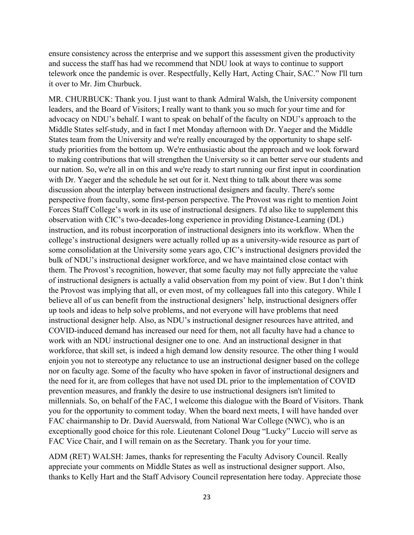ensure consistency across the enterprise and we support this assessment given the productivity and success the staff has had we recommend that NDU look at ways to continue to support telework once the pandemic is over. Respectfully, Kelly Hart, Acting Chair, SAC." Now I'll turn it over to Mr. Jim Churbuck.

MR. CHURBUCK: Thank you. I just want to thank Admiral Walsh, the University component leaders, and the Board of Visitors; I really want to thank you so much for your time and for advocacy on NDU's behalf. I want to speak on behalf of the faculty on NDU's approach to the Middle States self-study, and in fact I met Monday afternoon with Dr. Yaeger and the Middle States team from the University and we're really encouraged by the opportunity to shape selfstudy priorities from the bottom up. We're enthusiastic about the approach and we look forward to making contributions that will strengthen the University so it can better serve our students and our nation. So, we're all in on this and we're ready to start running our first input in coordination with Dr. Yaeger and the schedule he set out for it. Next thing to talk about there was some discussion about the interplay between instructional designers and faculty. There's some perspective from faculty, some first-person perspective. The Provost was right to mention Joint Forces Staff College's work in its use of instructional designers. I'd also like to supplement this observation with CIC's two-decades-long experience in providing Distance-Learning (DL) instruction, and its robust incorporation of instructional designers into its workflow. When the college's instructional designers were actually rolled up as a university-wide resource as part of some consolidation at the University some years ago, CIC's instructional designers provided the bulk of NDU's instructional designer workforce, and we have maintained close contact with them. The Provost's recognition, however, that some faculty may not fully appreciate the value of instructional designers is actually a valid observation from my point of view. But I don't think the Provost was implying that all, or even most, of my colleagues fall into this category. While I believe all of us can benefit from the instructional designers' help, instructional designers offer up tools and ideas to help solve problems, and not everyone will have problems that need instructional designer help. Also, as NDU's instructional designer resources have attrited, and COVID-induced demand has increased our need for them, not all faculty have had a chance to work with an NDU instructional designer one to one. And an instructional designer in that workforce, that skill set, is indeed a high demand low density resource. The other thing I would enjoin you not to stereotype any reluctance to use an instructional designer based on the college nor on faculty age. Some of the faculty who have spoken in favor of instructional designers and the need for it, are from colleges that have not used DL prior to the implementation of COVID prevention measures, and frankly the desire to use instructional designers isn't limited to millennials. So, on behalf of the FAC, I welcome this dialogue with the Board of Visitors. Thank you for the opportunity to comment today. When the board next meets, I will have handed over FAC chairmanship to Dr. David Auerswald, from National War College (NWC), who is an exceptionally good choice for this role. Lieutenant Colonel Doug "Lucky" Luccio will serve as FAC Vice Chair, and I will remain on as the Secretary. Thank you for your time.

ADM (RET) WALSH: James, thanks for representing the Faculty Advisory Council. Really appreciate your comments on Middle States as well as instructional designer support. Also, thanks to Kelly Hart and the Staff Advisory Council representation here today. Appreciate those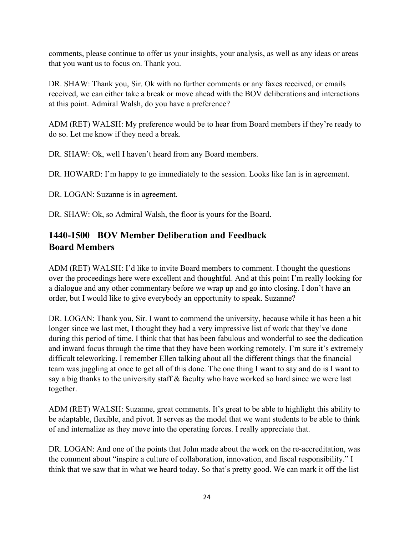comments, please continue to offer us your insights, your analysis, as well as any ideas or areas that you want us to focus on. Thank you.

DR. SHAW: Thank you, Sir. Ok with no further comments or any faxes received, or emails received, we can either take a break or move ahead with the BOV deliberations and interactions at this point. Admiral Walsh, do you have a preference?

ADM (RET) WALSH: My preference would be to hear from Board members if they're ready to do so. Let me know if they need a break.

DR. SHAW: Ok, well I haven't heard from any Board members.

DR. HOWARD: I'm happy to go immediately to the session. Looks like Ian is in agreement.

DR. LOGAN: Suzanne is in agreement.

DR. SHAW: Ok, so Admiral Walsh, the floor is yours for the Board.

## **1440-1500 BOV Member Deliberation and Feedback Board Members**

ADM (RET) WALSH: I'd like to invite Board members to comment. I thought the questions over the proceedings here were excellent and thoughtful. And at this point I'm really looking for a dialogue and any other commentary before we wrap up and go into closing. I don't have an order, but I would like to give everybody an opportunity to speak. Suzanne?

DR. LOGAN: Thank you, Sir. I want to commend the university, because while it has been a bit longer since we last met, I thought they had a very impressive list of work that they've done during this period of time. I think that that has been fabulous and wonderful to see the dedication and inward focus through the time that they have been working remotely. I'm sure it's extremely difficult teleworking. I remember Ellen talking about all the different things that the financial team was juggling at once to get all of this done. The one thing I want to say and do is I want to say a big thanks to the university staff & faculty who have worked so hard since we were last together.

ADM (RET) WALSH: Suzanne, great comments. It's great to be able to highlight this ability to be adaptable, flexible, and pivot. It serves as the model that we want students to be able to think of and internalize as they move into the operating forces. I really appreciate that.

DR. LOGAN: And one of the points that John made about the work on the re-accreditation, was the comment about "inspire a culture of collaboration, innovation, and fiscal responsibility." I think that we saw that in what we heard today. So that's pretty good. We can mark it off the list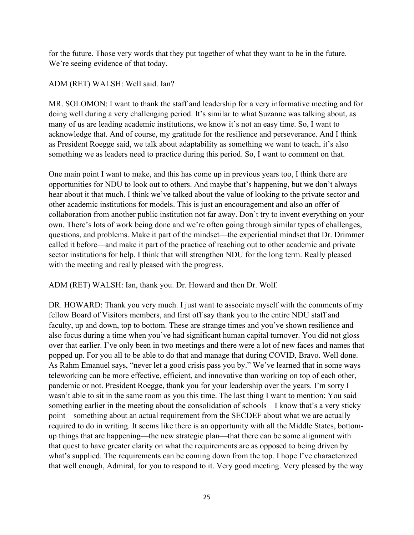for the future. Those very words that they put together of what they want to be in the future. We're seeing evidence of that today.

#### ADM (RET) WALSH: Well said. Ian?

MR. SOLOMON: I want to thank the staff and leadership for a very informative meeting and for doing well during a very challenging period. It's similar to what Suzanne was talking about, as many of us are leading academic institutions, we know it's not an easy time. So, I want to acknowledge that. And of course, my gratitude for the resilience and perseverance. And I think as President Roegge said, we talk about adaptability as something we want to teach, it's also something we as leaders need to practice during this period. So, I want to comment on that.

One main point I want to make, and this has come up in previous years too, I think there are opportunities for NDU to look out to others. And maybe that's happening, but we don't always hear about it that much. I think we've talked about the value of looking to the private sector and other academic institutions for models. This is just an encouragement and also an offer of collaboration from another public institution not far away. Don't try to invent everything on your own. There's lots of work being done and we're often going through similar types of challenges, questions, and problems. Make it part of the mindset—the experiential mindset that Dr. Drimmer called it before—and make it part of the practice of reaching out to other academic and private sector institutions for help. I think that will strengthen NDU for the long term. Really pleased with the meeting and really pleased with the progress.

ADM (RET) WALSH: Ian, thank you. Dr. Howard and then Dr. Wolf.

DR. HOWARD: Thank you very much. I just want to associate myself with the comments of my fellow Board of Visitors members, and first off say thank you to the entire NDU staff and faculty, up and down, top to bottom. These are strange times and you've shown resilience and also focus during a time when you've had significant human capital turnover. You did not gloss over that earlier. I've only been in two meetings and there were a lot of new faces and names that popped up. For you all to be able to do that and manage that during COVID, Bravo. Well done. As Rahm Emanuel says, "never let a good crisis pass you by." We've learned that in some ways teleworking can be more effective, efficient, and innovative than working on top of each other, pandemic or not. President Roegge, thank you for your leadership over the years. I'm sorry I wasn't able to sit in the same room as you this time. The last thing I want to mention: You said something earlier in the meeting about the consolidation of schools—I know that's a very sticky point—something about an actual requirement from the SECDEF about what we are actually required to do in writing. It seems like there is an opportunity with all the Middle States, bottomup things that are happening—the new strategic plan—that there can be some alignment with that quest to have greater clarity on what the requirements are as opposed to being driven by what's supplied. The requirements can be coming down from the top. I hope I've characterized that well enough, Admiral, for you to respond to it. Very good meeting. Very pleased by the way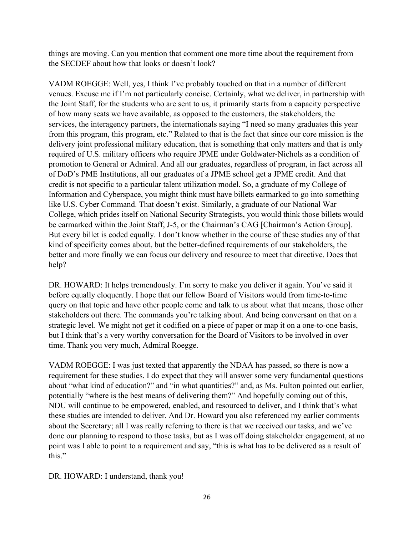things are moving. Can you mention that comment one more time about the requirement from the SECDEF about how that looks or doesn't look?

VADM ROEGGE: Well, yes, I think I've probably touched on that in a number of different venues. Excuse me if I'm not particularly concise. Certainly, what we deliver, in partnership with the Joint Staff, for the students who are sent to us, it primarily starts from a capacity perspective of how many seats we have available, as opposed to the customers, the stakeholders, the services, the interagency partners, the internationals saying "I need so many graduates this year from this program, this program, etc." Related to that is the fact that since our core mission is the delivery joint professional military education, that is something that only matters and that is only required of U.S. military officers who require JPME under Goldwater-Nichols as a condition of promotion to General or Admiral. And all our graduates, regardless of program, in fact across all of DoD's PME Institutions, all our graduates of a JPME school get a JPME credit. And that credit is not specific to a particular talent utilization model. So, a graduate of my College of Information and Cyberspace, you might think must have billets earmarked to go into something like U.S. Cyber Command. That doesn't exist. Similarly, a graduate of our National War College, which prides itself on National Security Strategists, you would think those billets would be earmarked within the Joint Staff, J-5, or the Chairman's CAG [Chairman's Action Group]. But every billet is coded equally. I don't know whether in the course of these studies any of that kind of specificity comes about, but the better-defined requirements of our stakeholders, the better and more finally we can focus our delivery and resource to meet that directive. Does that help?

DR. HOWARD: It helps tremendously. I'm sorry to make you deliver it again. You've said it before equally eloquently. I hope that our fellow Board of Visitors would from time-to-time query on that topic and have other people come and talk to us about what that means, those other stakeholders out there. The commands you're talking about. And being conversant on that on a strategic level. We might not get it codified on a piece of paper or map it on a one-to-one basis, but I think that's a very worthy conversation for the Board of Visitors to be involved in over time. Thank you very much, Admiral Roegge.

VADM ROEGGE: I was just texted that apparently the NDAA has passed, so there is now a requirement for these studies. I do expect that they will answer some very fundamental questions about "what kind of education?" and "in what quantities?" and, as Ms. Fulton pointed out earlier, potentially "where is the best means of delivering them?" And hopefully coming out of this, NDU will continue to be empowered, enabled, and resourced to deliver, and I think that's what these studies are intended to deliver. And Dr. Howard you also referenced my earlier comments about the Secretary; all I was really referring to there is that we received our tasks, and we've done our planning to respond to those tasks, but as I was off doing stakeholder engagement, at no point was I able to point to a requirement and say, "this is what has to be delivered as a result of this."

DR. HOWARD: I understand, thank you!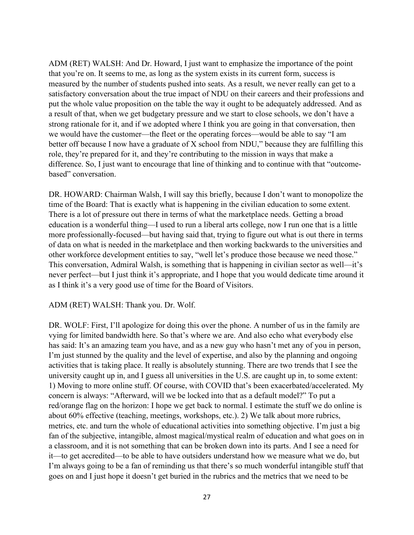ADM (RET) WALSH: And Dr. Howard, I just want to emphasize the importance of the point that you're on. It seems to me, as long as the system exists in its current form, success is measured by the number of students pushed into seats. As a result, we never really can get to a satisfactory conversation about the true impact of NDU on their careers and their professions and put the whole value proposition on the table the way it ought to be adequately addressed. And as a result of that, when we get budgetary pressure and we start to close schools, we don't have a strong rationale for it, and if we adopted where I think you are going in that conversation, then we would have the customer—the fleet or the operating forces—would be able to say "I am better off because I now have a graduate of X school from NDU," because they are fulfilling this role, they're prepared for it, and they're contributing to the mission in ways that make a difference. So, I just want to encourage that line of thinking and to continue with that "outcomebased" conversation.

DR. HOWARD: Chairman Walsh, I will say this briefly, because I don't want to monopolize the time of the Board: That is exactly what is happening in the civilian education to some extent. There is a lot of pressure out there in terms of what the marketplace needs. Getting a broad education is a wonderful thing—I used to run a liberal arts college, now I run one that is a little more professionally-focused—but having said that, trying to figure out what is out there in terms of data on what is needed in the marketplace and then working backwards to the universities and other workforce development entities to say, "well let's produce those because we need those." This conversation, Admiral Walsh, is something that is happening in civilian sector as well—it's never perfect—but I just think it's appropriate, and I hope that you would dedicate time around it as I think it's a very good use of time for the Board of Visitors.

#### ADM (RET) WALSH: Thank you. Dr. Wolf.

DR. WOLF: First, I'll apologize for doing this over the phone. A number of us in the family are vying for limited bandwidth here. So that's where we are. And also echo what everybody else has said: It's an amazing team you have, and as a new guy who hasn't met any of you in person, I'm just stunned by the quality and the level of expertise, and also by the planning and ongoing activities that is taking place. It really is absolutely stunning. There are two trends that I see the university caught up in, and I guess all universities in the U.S. are caught up in, to some extent: 1) Moving to more online stuff. Of course, with COVID that's been exacerbated/accelerated. My concern is always: "Afterward, will we be locked into that as a default model?" To put a red/orange flag on the horizon: I hope we get back to normal. I estimate the stuff we do online is about 60% effective (teaching, meetings, workshops, etc.). 2) We talk about more rubrics, metrics, etc. and turn the whole of educational activities into something objective. I'm just a big fan of the subjective, intangible, almost magical/mystical realm of education and what goes on in a classroom, and it is not something that can be broken down into its parts. And I see a need for it—to get accredited—to be able to have outsiders understand how we measure what we do, but I'm always going to be a fan of reminding us that there's so much wonderful intangible stuff that goes on and I just hope it doesn't get buried in the rubrics and the metrics that we need to be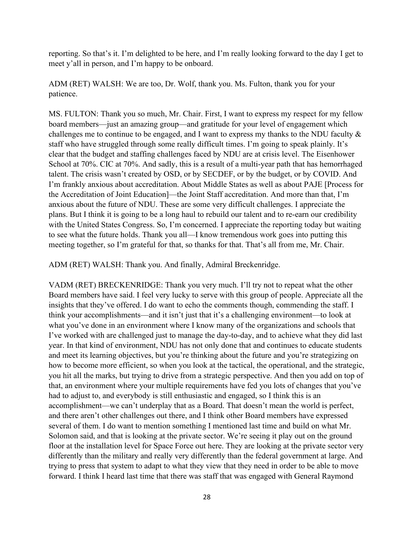reporting. So that's it. I'm delighted to be here, and I'm really looking forward to the day I get to meet y'all in person, and I'm happy to be onboard.

ADM (RET) WALSH: We are too, Dr. Wolf, thank you. Ms. Fulton, thank you for your patience.

MS. FULTON: Thank you so much, Mr. Chair. First, I want to express my respect for my fellow board members—just an amazing group—and gratitude for your level of engagement which challenges me to continue to be engaged, and I want to express my thanks to the NDU faculty & staff who have struggled through some really difficult times. I'm going to speak plainly. It's clear that the budget and staffing challenges faced by NDU are at crisis level. The Eisenhower School at 70%. CIC at 70%. And sadly, this is a result of a multi-year path that has hemorrhaged talent. The crisis wasn't created by OSD, or by SECDEF, or by the budget, or by COVID. And I'm frankly anxious about accreditation. About Middle States as well as about PAJE [Process for the Accreditation of Joint Education]—the Joint Staff accreditation. And more than that, I'm anxious about the future of NDU. These are some very difficult challenges. I appreciate the plans. But I think it is going to be a long haul to rebuild our talent and to re-earn our credibility with the United States Congress. So, I'm concerned. I appreciate the reporting today but waiting to see what the future holds. Thank you all—I know tremendous work goes into putting this meeting together, so I'm grateful for that, so thanks for that. That's all from me, Mr. Chair.

ADM (RET) WALSH: Thank you. And finally, Admiral Breckenridge.

VADM (RET) BRECKENRIDGE: Thank you very much. I'll try not to repeat what the other Board members have said. I feel very lucky to serve with this group of people. Appreciate all the insights that they've offered. I do want to echo the comments though, commending the staff. I think your accomplishments—and it isn't just that it's a challenging environment—to look at what you've done in an environment where I know many of the organizations and schools that I've worked with are challenged just to manage the day-to-day, and to achieve what they did last year. In that kind of environment, NDU has not only done that and continues to educate students and meet its learning objectives, but you're thinking about the future and you're strategizing on how to become more efficient, so when you look at the tactical, the operational, and the strategic, you hit all the marks, but trying to drive from a strategic perspective. And then you add on top of that, an environment where your multiple requirements have fed you lots of changes that you've had to adjust to, and everybody is still enthusiastic and engaged, so I think this is an accomplishment—we can't underplay that as a Board. That doesn't mean the world is perfect, and there aren't other challenges out there, and I think other Board members have expressed several of them. I do want to mention something I mentioned last time and build on what Mr. Solomon said, and that is looking at the private sector. We're seeing it play out on the ground floor at the installation level for Space Force out here. They are looking at the private sector very differently than the military and really very differently than the federal government at large. And trying to press that system to adapt to what they view that they need in order to be able to move forward. I think I heard last time that there was staff that was engaged with General Raymond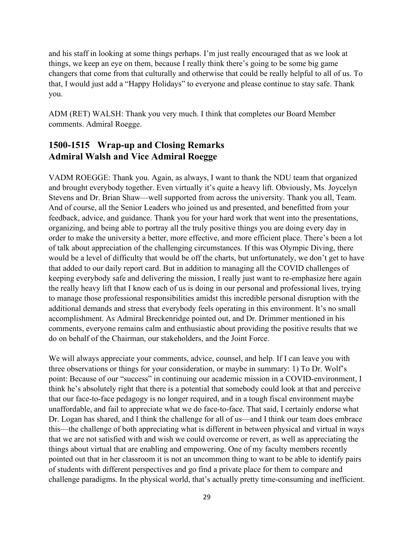and his staff in looking at some things perhaps. I'm just really encouraged that as we look at things, we keep an eye on them, because I really think there's going to be some big game changers that come from that culturally and otherwise that could be really helpful to all of us. To that, I would just add a "Happy Holidays" to everyone and please continue to stay safe. Thank you.

ADM (RET) WALSH: Thank you very much. I think that completes our Board Member comments. Admiral Roegge.

## **1500-1515 Wrap-up and Closing Remarks Admiral Walsh and Vice Admiral Roegge**

VADM ROEGGE: Thank you. Again, as always, I want to thank the NDU team that organized and brought everybody together. Even virtually it's quite a heavy lift. Obviously, Ms. Joycelyn Stevens and Dr. Brian Shaw—well supported from across the university. Thank you all, Team. And of course, all the Senior Leaders who joined us and presented, and benefitted from your feedback, advice, and guidance. Thank you for your hard work that went into the presentations, organizing, and being able to portray all the truly positive things you are doing every day in order to make the university a better, more effective, and more efficient place. There's been a lot of talk about appreciation of the challenging circumstances. If this was Olympic Diving, there would be a level of difficulty that would be off the charts, but unfortunately, we don't get to have that added to our daily report card. But in addition to managing all the COVID challenges of keeping everybody safe and delivering the mission, I really just want to re-emphasize here again the really heavy lift that I know each of us is doing in our personal and professional lives, trying to manage those professional responsibilities amidst this incredible personal disruption with the additional demands and stress that everybody feels operating in this environment. It's no small accomplishment. As Admiral Breckenridge pointed out, and Dr. Drimmer mentioned in his comments, everyone remains calm and enthusiastic about providing the positive results that we do on behalf of the Chairman, our stakeholders, and the Joint Force.

We will always appreciate your comments, advice, counsel, and help. If I can leave you with three observations or things for your consideration, or maybe in summary: 1) To Dr. Wolf's point: Because of our "success" in continuing our academic mission in a COVID-environment, I think he's absolutely right that there is a potential that somebody could look at that and perceive that our face-to-face pedagogy is no longer required, and in a tough fiscal environment maybe unaffordable, and fail to appreciate what we do face-to-face. That said, I certainly endorse what Dr. Logan has shared, and I think the challenge for all of us—and I think our team does embrace this—the challenge of both appreciating what is different in between physical and virtual in ways that we are not satisfied with and wish we could overcome or revert, as well as appreciating the things about virtual that are enabling and empowering. One of my faculty members recently pointed out that in her classroom it is not an uncommon thing to want to be able to identify pairs of students with different perspectives and go find a private place for them to compare and challenge paradigms. In the physical world, that's actually pretty time-consuming and inefficient.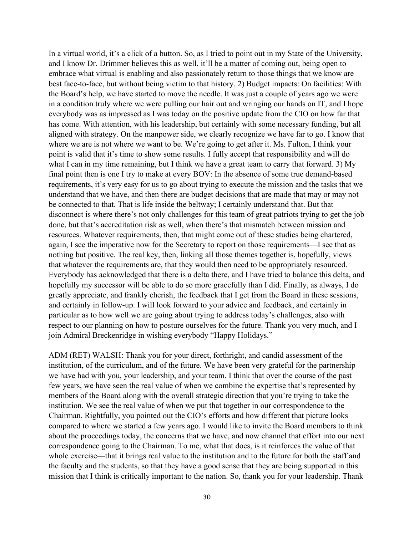In a virtual world, it's a click of a button. So, as I tried to point out in my State of the University, and I know Dr. Drimmer believes this as well, it'll be a matter of coming out, being open to embrace what virtual is enabling and also passionately return to those things that we know are best face-to-face, but without being victim to that history. 2) Budget impacts: On facilities: With the Board's help, we have started to move the needle. It was just a couple of years ago we were in a condition truly where we were pulling our hair out and wringing our hands on IT, and I hope everybody was as impressed as I was today on the positive update from the CIO on how far that has come. With attention, with his leadership, but certainly with some necessary funding, but all aligned with strategy. On the manpower side, we clearly recognize we have far to go. I know that where we are is not where we want to be. We're going to get after it. Ms. Fulton, I think your point is valid that it's time to show some results. I fully accept that responsibility and will do what I can in my time remaining, but I think we have a great team to carry that forward. 3) My final point then is one I try to make at every BOV: In the absence of some true demand-based requirements, it's very easy for us to go about trying to execute the mission and the tasks that we understand that we have, and then there are budget decisions that are made that may or may not be connected to that. That is life inside the beltway; I certainly understand that. But that disconnect is where there's not only challenges for this team of great patriots trying to get the job done, but that's accreditation risk as well, when there's that mismatch between mission and resources. Whatever requirements, then, that might come out of these studies being chartered, again, I see the imperative now for the Secretary to report on those requirements—I see that as nothing but positive. The real key, then, linking all those themes together is, hopefully, views that whatever the requirements are, that they would then need to be appropriately resourced. Everybody has acknowledged that there is a delta there, and I have tried to balance this delta, and hopefully my successor will be able to do so more gracefully than I did. Finally, as always, I do greatly appreciate, and frankly cherish, the feedback that I get from the Board in these sessions, and certainly in follow-up. I will look forward to your advice and feedback, and certainly in particular as to how well we are going about trying to address today's challenges, also with respect to our planning on how to posture ourselves for the future. Thank you very much, and I join Admiral Breckenridge in wishing everybody "Happy Holidays."

ADM (RET) WALSH: Thank you for your direct, forthright, and candid assessment of the institution, of the curriculum, and of the future. We have been very grateful for the partnership we have had with you, your leadership, and your team. I think that over the course of the past few years, we have seen the real value of when we combine the expertise that's represented by members of the Board along with the overall strategic direction that you're trying to take the institution. We see the real value of when we put that together in our correspondence to the Chairman. Rightfully, you pointed out the CIO's efforts and how different that picture looks compared to where we started a few years ago. I would like to invite the Board members to think about the proceedings today, the concerns that we have, and now channel that effort into our next correspondence going to the Chairman. To me, what that does, is it reinforces the value of that whole exercise—that it brings real value to the institution and to the future for both the staff and the faculty and the students, so that they have a good sense that they are being supported in this mission that I think is critically important to the nation. So, thank you for your leadership. Thank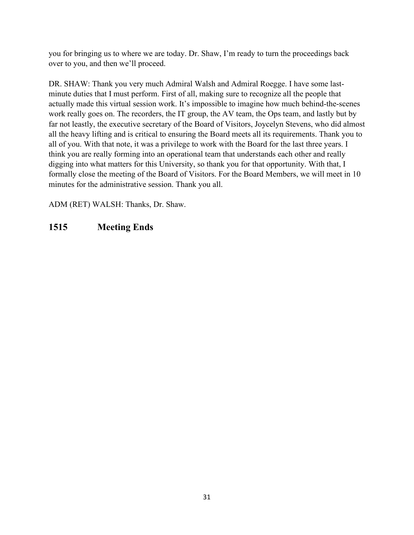you for bringing us to where we are today. Dr. Shaw, I'm ready to turn the proceedings back over to you, and then we'll proceed.

DR. SHAW: Thank you very much Admiral Walsh and Admiral Roegge. I have some lastminute duties that I must perform. First of all, making sure to recognize all the people that actually made this virtual session work. It's impossible to imagine how much behind-the-scenes work really goes on. The recorders, the IT group, the AV team, the Ops team, and lastly but by far not leastly, the executive secretary of the Board of Visitors, Joycelyn Stevens, who did almost all the heavy lifting and is critical to ensuring the Board meets all its requirements. Thank you to all of you. With that note, it was a privilege to work with the Board for the last three years. I think you are really forming into an operational team that understands each other and really digging into what matters for this University, so thank you for that opportunity. With that, I formally close the meeting of the Board of Visitors. For the Board Members, we will meet in 10 minutes for the administrative session. Thank you all.

ADM (RET) WALSH: Thanks, Dr. Shaw.

#### **1515 Meeting Ends**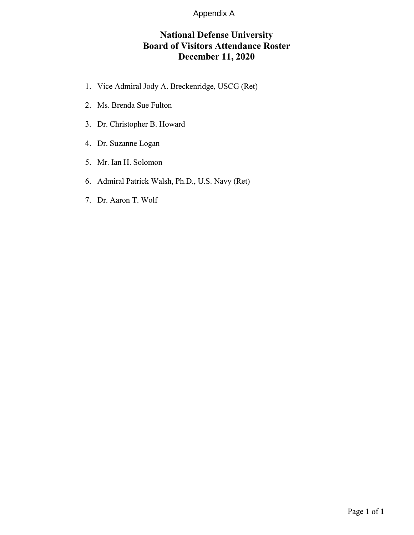#### Appendix A

## **National Defense University Board of Visitors Attendance Roster December 11, 2020**

- 1. Vice Admiral Jody A. Breckenridge, USCG (Ret)
- 2. Ms. Brenda Sue Fulton
- 3. Dr. Christopher B. Howard
- 4. Dr. Suzanne Logan
- 5. Mr. Ian H. Solomon
- 6. Admiral Patrick Walsh, Ph.D., U.S. Navy (Ret)
- 7. Dr. Aaron T. Wolf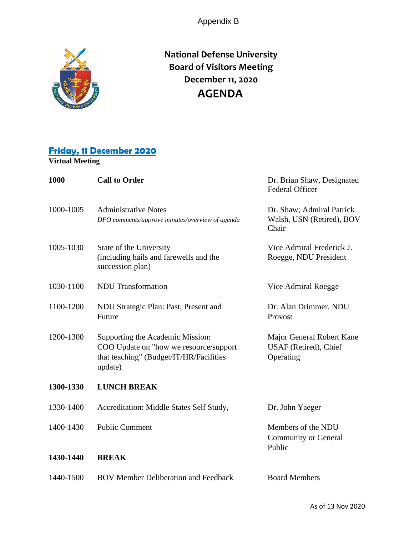Appendix B



**National Defense University Board of Visitors Meeting December 11, 2020 AGENDA**

### **Friday, 11 December 2020**

**Virtual Meeting**

| 1000      | <b>Call to Order</b>                                                                                                             | Dr. Brian Shaw, Designated<br><b>Federal Officer</b>            |
|-----------|----------------------------------------------------------------------------------------------------------------------------------|-----------------------------------------------------------------|
| 1000-1005 | <b>Administrative Notes</b><br>DFO comments/approve minutes/overview of agenda                                                   | Dr. Shaw; Admiral Patrick<br>Walsh, USN (Retired), BOV<br>Chair |
| 1005-1030 | State of the University<br>(including hails and farewells and the<br>succession plan)                                            | Vice Admiral Frederick J.<br>Roegge, NDU President              |
| 1030-1100 | <b>NDU</b> Transformation                                                                                                        | Vice Admiral Roegge                                             |
| 1100-1200 | NDU Strategic Plan: Past, Present and<br>Future                                                                                  | Dr. Alan Drimmer, NDU<br>Provost                                |
| 1200-1300 | Supporting the Academic Mission:<br>COO Update on "how we resource/support<br>that teaching" (Budget/IT/HR/Facilities<br>update) | Major General Robert Kane<br>USAF (Retired), Chief<br>Operating |
| 1300-1330 | <b>LUNCH BREAK</b>                                                                                                               |                                                                 |
| 1330-1400 | Accreditation: Middle States Self Study,                                                                                         | Dr. John Yaeger                                                 |
| 1400-1430 | <b>Public Comment</b>                                                                                                            | Members of the NDU<br><b>Community or General</b><br>Public     |
| 1430-1440 | <b>BREAK</b>                                                                                                                     |                                                                 |
| 1440-1500 | <b>BOV Member Deliberation and Feedback</b>                                                                                      | <b>Board Members</b>                                            |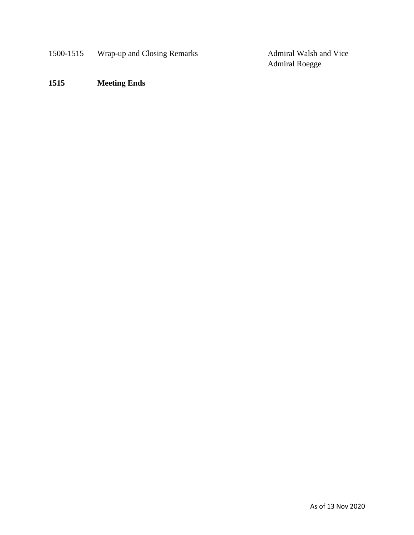1500-1515 Wrap-up and Closing Remarks Admiral Walsh and Vice

Admiral Roegge

**1515 Meeting Ends**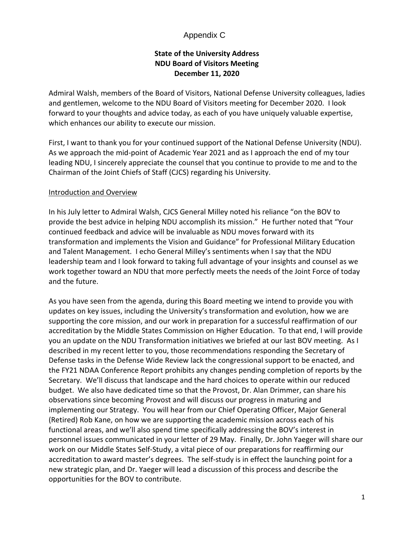#### Appendix C

#### **State of the University Address NDU Board of Visitors Meeting December 11, 2020**

Admiral Walsh, members of the Board of Visitors, National Defense University colleagues, ladies and gentlemen, welcome to the NDU Board of Visitors meeting for December 2020. I look forward to your thoughts and advice today, as each of you have uniquely valuable expertise, which enhances our ability to execute our mission.

First, I want to thank you for your continued support of the National Defense University (NDU). As we approach the mid-point of Academic Year 2021 and as I approach the end of my tour leading NDU, I sincerely appreciate the counsel that you continue to provide to me and to the Chairman of the Joint Chiefs of Staff (CJCS) regarding his University.

#### Introduction and Overview

In his July letter to Admiral Walsh, CJCS General Milley noted his reliance "on the BOV to provide the best advice in helping NDU accomplish its mission." He further noted that "Your continued feedback and advice will be invaluable as NDU moves forward with its transformation and implements the Vision and Guidance" for Professional Military Education and Talent Management. I echo General Milley's sentiments when I say that the NDU leadership team and I look forward to taking full advantage of your insights and counsel as we work together toward an NDU that more perfectly meets the needs of the Joint Force of today and the future.

As you have seen from the agenda, during this Board meeting we intend to provide you with updates on key issues, including the University's transformation and evolution, how we are supporting the core mission, and our work in preparation for a successful reaffirmation of our accreditation by the Middle States Commission on Higher Education. To that end, I will provide you an update on the NDU Transformation initiatives we briefed at our last BOV meeting. As I described in my recent letter to you, those recommendations responding the Secretary of Defense tasks in the Defense Wide Review lack the congressional support to be enacted, and the FY21 NDAA Conference Report prohibits any changes pending completion of reports by the Secretary. We'll discuss that landscape and the hard choices to operate within our reduced budget. We also have dedicated time so that the Provost, Dr. Alan Drimmer, can share his observations since becoming Provost and will discuss our progress in maturing and implementing our Strategy. You will hear from our Chief Operating Officer, Major General (Retired) Rob Kane, on how we are supporting the academic mission across each of his functional areas, and we'll also spend time specifically addressing the BOV's interest in personnel issues communicated in your letter of 29 May. Finally, Dr. John Yaeger will share our work on our Middle States Self-Study, a vital piece of our preparations for reaffirming our accreditation to award master's degrees. The self-study is in effect the launching point for a new strategic plan, and Dr. Yaeger will lead a discussion of this process and describe the opportunities for the BOV to contribute.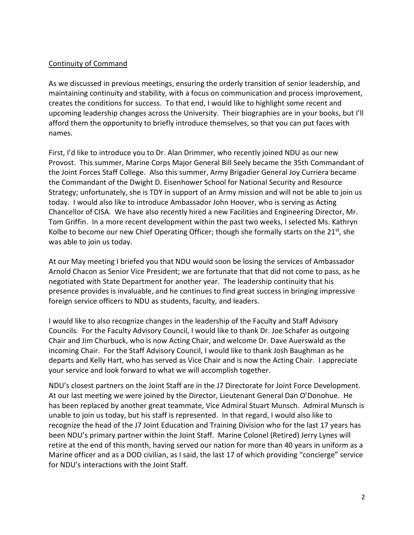#### Continuity of Command

As we discussed in previous meetings, ensuring the orderly transition of senior leadership, and maintaining continuity and stability, with a focus on communication and process improvement, creates the conditions for success. To that end, I would like to highlight some recent and upcoming leadership changes across the University. Their biographies are in your books, but I'll afford them the opportunity to briefly introduce themselves, so that you can put faces with names.

First, I'd like to introduce you to Dr. Alan Drimmer, who recently joined NDU as our new Provost. This summer, Marine Corps Major General Bill Seely became the 35th Commandant of the Joint Forces Staff College. Also this summer, Army Brigadier General Joy Curriera became the Commandant of the Dwight D. Eisenhower School for National Security and Resource Strategy; unfortunately, she is TDY in support of an Army mission and will not be able to join us today. I would also like to introduce Ambassador John Hoover, who is serving as Acting Chancellor of CISA. We have also recently hired a new Facilities and Engineering Director, Mr. Tom Griffin. In a more recent development within the past two weeks, I selected Ms. Kathryn Kolbe to become our new Chief Operating Officer; though she formally starts on the  $21^{st}$ , she was able to join us today.

At our May meeting I briefed you that NDU would soon be losing the services of Ambassador Arnold Chacon as Senior Vice President; we are fortunate that that did not come to pass, as he negotiated with State Department for another year. The leadership continuity that his presence provides is invaluable, and he continues to find great success in bringing impressive foreign service officers to NDU as students, faculty, and leaders.

I would like to also recognize changes in the leadership of the Faculty and Staff Advisory Councils. For the Faculty Advisory Council, I would like to thank Dr. Joe Schafer as outgoing Chair and Jim Churbuck, who is now Acting Chair, and welcome Dr. Dave Auerswald as the incoming Chair. For the Staff Advisory Council, I would like to thank Josh Baughman as he departs and Kelly Hart, who has served as Vice Chair and is now the Acting Chair. I appreciate your service and look forward to what we will accomplish together.

NDU's closest partners on the Joint Staff are in the J7 Directorate for Joint Force Development. At our last meeting we were joined by the Director, Lieutenant General Dan O'Donohue. He has been replaced by another great teammate, Vice Admiral Stuart Munsch. Admiral Munsch is unable to join us today, but his staff is represented. In that regard, I would also like to recognize the head of the J7 Joint Education and Training Division who for the last 17 years has been NDU's primary partner within the Joint Staff. Marine Colonel (Retired) Jerry Lynes will retire at the end of this month, having served our nation for more than 40 years in uniform as a Marine officer and as a DOD civilian, as I said, the last 17 of which providing "concierge" service for NDU's interactions with the Joint Staff.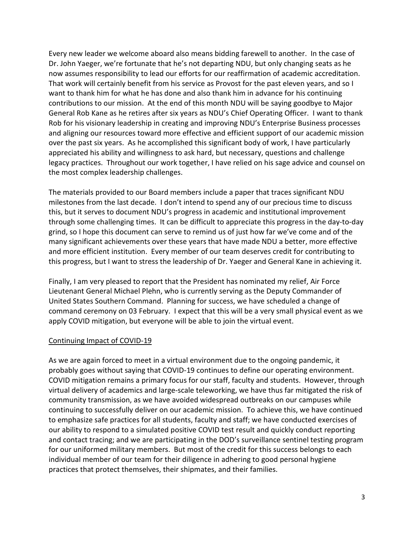Every new leader we welcome aboard also means bidding farewell to another. In the case of Dr. John Yaeger, we're fortunate that he's not departing NDU, but only changing seats as he now assumes responsibility to lead our efforts for our reaffirmation of academic accreditation. That work will certainly benefit from his service as Provost for the past eleven years, and so I want to thank him for what he has done and also thank him in advance for his continuing contributions to our mission. At the end of this month NDU will be saying goodbye to Major General Rob Kane as he retires after six years as NDU's Chief Operating Officer. I want to thank Rob for his visionary leadership in creating and improving NDU's Enterprise Business processes and aligning our resources toward more effective and efficient support of our academic mission over the past six years. As he accomplished this significant body of work, I have particularly appreciated his ability and willingness to ask hard, but necessary, questions and challenge legacy practices. Throughout our work together, I have relied on his sage advice and counsel on the most complex leadership challenges.

The materials provided to our Board members include a paper that traces significant NDU milestones from the last decade. I don't intend to spend any of our precious time to discuss this, but it serves to document NDU's progress in academic and institutional improvement through some challenging times. It can be difficult to appreciate this progress in the day-to-day grind, so I hope this document can serve to remind us of just how far we've come and of the many significant achievements over these years that have made NDU a better, more effective and more efficient institution. Every member of our team deserves credit for contributing to this progress, but I want to stress the leadership of Dr. Yaeger and General Kane in achieving it.

Finally, I am very pleased to report that the President has nominated my relief, Air Force Lieutenant General Michael Plehn, who is currently serving as the Deputy Commander of United States Southern Command. Planning for success, we have scheduled a change of command ceremony on 03 February. I expect that this will be a very small physical event as we apply COVID mitigation, but everyone will be able to join the virtual event.

#### Continuing Impact of COVID-19

As we are again forced to meet in a virtual environment due to the ongoing pandemic, it probably goes without saying that COVID-19 continues to define our operating environment. COVID mitigation remains a primary focus for our staff, faculty and students. However, through virtual delivery of academics and large-scale teleworking, we have thus far mitigated the risk of community transmission, as we have avoided widespread outbreaks on our campuses while continuing to successfully deliver on our academic mission. To achieve this, we have continued to emphasize safe practices for all students, faculty and staff; we have conducted exercises of our ability to respond to a simulated positive COVID test result and quickly conduct reporting and contact tracing; and we are participating in the DOD's surveillance sentinel testing program for our uniformed military members. But most of the credit for this success belongs to each individual member of our team for their diligence in adhering to good personal hygiene practices that protect themselves, their shipmates, and their families.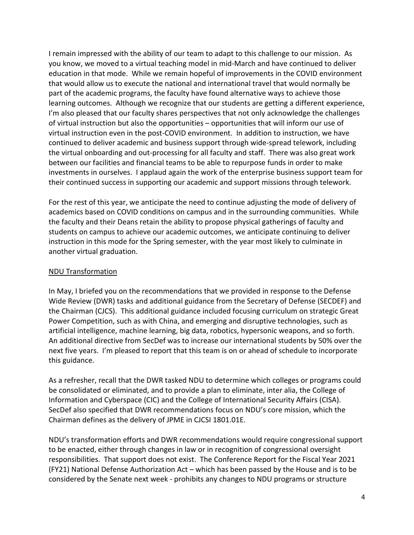I remain impressed with the ability of our team to adapt to this challenge to our mission. As you know, we moved to a virtual teaching model in mid-March and have continued to deliver education in that mode. While we remain hopeful of improvements in the COVID environment that would allow us to execute the national and international travel that would normally be part of the academic programs, the faculty have found alternative ways to achieve those learning outcomes. Although we recognize that our students are getting a different experience, I'm also pleased that our faculty shares perspectives that not only acknowledge the challenges of virtual instruction but also the opportunities – opportunities that will inform our use of virtual instruction even in the post-COVID environment. In addition to instruction, we have continued to deliver academic and business support through wide-spread telework, including the virtual onboarding and out-processing for all faculty and staff. There was also great work between our facilities and financial teams to be able to repurpose funds in order to make investments in ourselves. I applaud again the work of the enterprise business support team for their continued success in supporting our academic and support missions through telework.

For the rest of this year, we anticipate the need to continue adjusting the mode of delivery of academics based on COVID conditions on campus and in the surrounding communities. While the faculty and their Deans retain the ability to propose physical gatherings of faculty and students on campus to achieve our academic outcomes, we anticipate continuing to deliver instruction in this mode for the Spring semester, with the year most likely to culminate in another virtual graduation.

#### NDU Transformation

In May, I briefed you on the recommendations that we provided in response to the Defense Wide Review (DWR) tasks and additional guidance from the Secretary of Defense (SECDEF) and the Chairman (CJCS). This additional guidance included focusing curriculum on strategic Great Power Competition, such as with China, and emerging and disruptive technologies, such as artificial intelligence, machine learning, big data, robotics, hypersonic weapons, and so forth. An additional directive from SecDef was to increase our international students by 50% over the next five years. I'm pleased to report that this team is on or ahead of schedule to incorporate this guidance.

As a refresher, recall that the DWR tasked NDU to determine which colleges or programs could be consolidated or eliminated, and to provide a plan to eliminate, inter alia, the College of Information and Cyberspace (CIC) and the College of International Security Affairs (CISA). SecDef also specified that DWR recommendations focus on NDU's core mission, which the Chairman defines as the delivery of JPME in CJCSI 1801.01E.

NDU's transformation efforts and DWR recommendations would require congressional support to be enacted, either through changes in law or in recognition of congressional oversight responsibilities. That support does not exist. The Conference Report for the Fiscal Year 2021 (FY21) National Defense Authorization Act – which has been passed by the House and is to be considered by the Senate next week - prohibits any changes to NDU programs or structure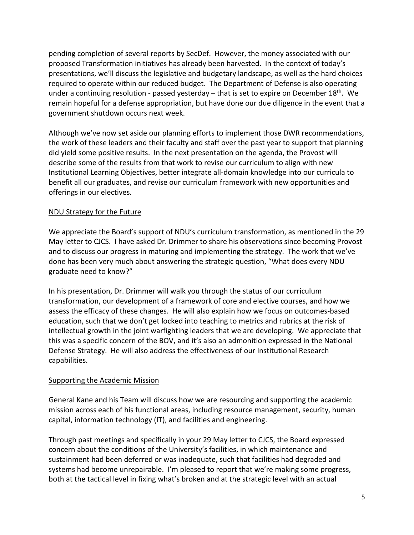pending completion of several reports by SecDef. However, the money associated with our proposed Transformation initiatives has already been harvested. In the context of today's presentations, we'll discuss the legislative and budgetary landscape, as well as the hard choices required to operate within our reduced budget. The Department of Defense is also operating under a continuing resolution - passed yesterday – that is set to expire on December  $18<sup>th</sup>$ . We remain hopeful for a defense appropriation, but have done our due diligence in the event that a government shutdown occurs next week.

Although we've now set aside our planning efforts to implement those DWR recommendations, the work of these leaders and their faculty and staff over the past year to support that planning did yield some positive results. In the next presentation on the agenda, the Provost will describe some of the results from that work to revise our curriculum to align with new Institutional Learning Objectives, better integrate all-domain knowledge into our curricula to benefit all our graduates, and revise our curriculum framework with new opportunities and offerings in our electives.

#### NDU Strategy for the Future

We appreciate the Board's support of NDU's curriculum transformation, as mentioned in the 29 May letter to CJCS. I have asked Dr. Drimmer to share his observations since becoming Provost and to discuss our progress in maturing and implementing the strategy. The work that we've done has been very much about answering the strategic question, "What does every NDU graduate need to know?"

In his presentation, Dr. Drimmer will walk you through the status of our curriculum transformation, our development of a framework of core and elective courses, and how we assess the efficacy of these changes. He will also explain how we focus on outcomes-based education, such that we don't get locked into teaching to metrics and rubrics at the risk of intellectual growth in the joint warfighting leaders that we are developing. We appreciate that this was a specific concern of the BOV, and it's also an admonition expressed in the National Defense Strategy. He will also address the effectiveness of our Institutional Research capabilities.

#### Supporting the Academic Mission

General Kane and his Team will discuss how we are resourcing and supporting the academic mission across each of his functional areas, including resource management, security, human capital, information technology (IT), and facilities and engineering.

Through past meetings and specifically in your 29 May letter to CJCS, the Board expressed concern about the conditions of the University's facilities, in which maintenance and sustainment had been deferred or was inadequate, such that facilities had degraded and systems had become unrepairable. I'm pleased to report that we're making some progress, both at the tactical level in fixing what's broken and at the strategic level with an actual